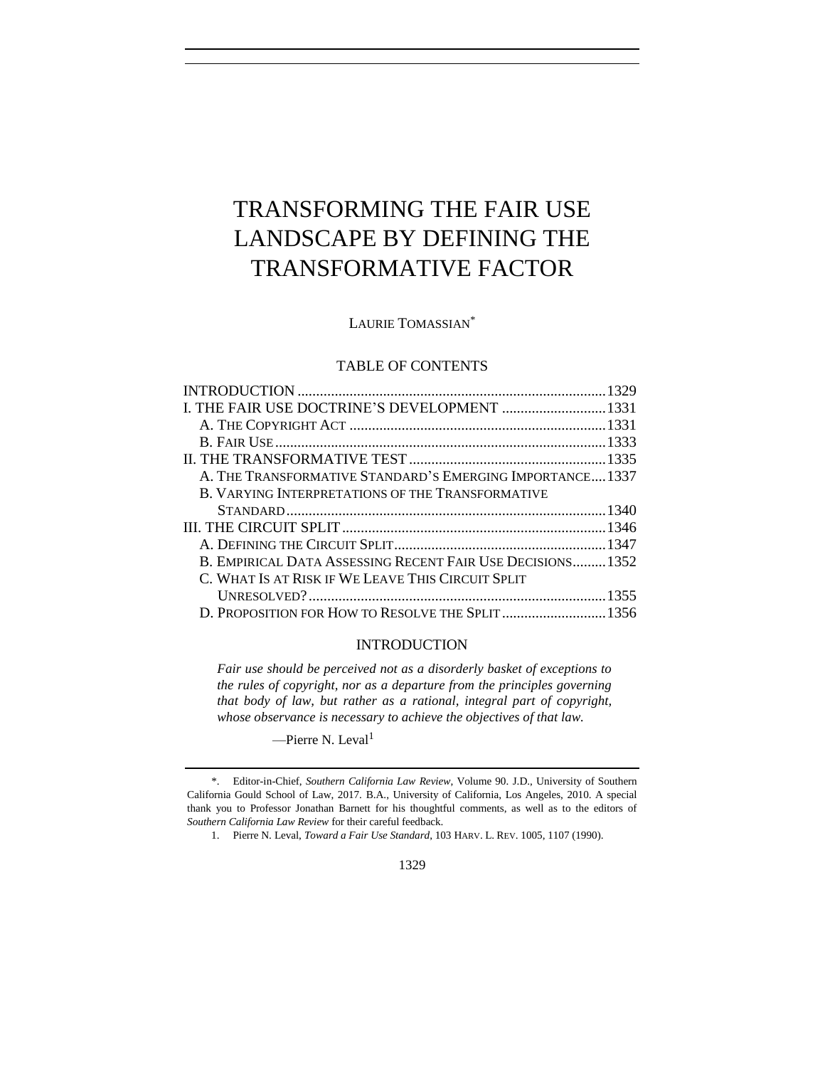# TRANSFORMING THE FAIR USE LANDSCAPE BY DEFINING THE TRANSFORMATIVE FACTOR

LAURIE TOMASSIAN\*

# TABLE OF CONTENTS

| I. THE FAIR USE DOCTRINE'S DEVELOPMENT  1331              |  |
|-----------------------------------------------------------|--|
|                                                           |  |
|                                                           |  |
|                                                           |  |
| A. THE TRANSFORMATIVE STANDARD'S EMERGING IMPORTANCE1337  |  |
| B. VARYING INTERPRETATIONS OF THE TRANSFORMATIVE          |  |
|                                                           |  |
|                                                           |  |
|                                                           |  |
| B. EMPIRICAL DATA ASSESSING RECENT FAIR USE DECISIONS1352 |  |
| C. WHAT IS AT RISK IF WE LEAVE THIS CIRCUIT SPLIT         |  |
|                                                           |  |
| D. PROPOSITION FOR HOW TO RESOLVE THE SPLIT  1356         |  |

# <span id="page-0-0"></span>INTRODUCTION

*Fair use should be perceived not as a disorderly basket of exceptions to the rules of copyright, nor as a departure from the principles governing that body of law, but rather as a rational, integral part of copyright, whose observance is necessary to achieve the objectives of that law.*

—Pierre N. Leval<sup>1</sup>

1. Pierre N. Leval, *Toward a Fair Use Standard*, 103 HARV. L. REV. 1005, 1107 (1990).

<sup>\*.</sup> Editor-in-Chief, *Southern California Law Review*, Volume 90. J.D., University of Southern California Gould School of Law, 2017. B.A., University of California, Los Angeles, 2010. A special thank you to Professor Jonathan Barnett for his thoughtful comments, as well as to the editors of *Southern California Law Review* for their careful feedback.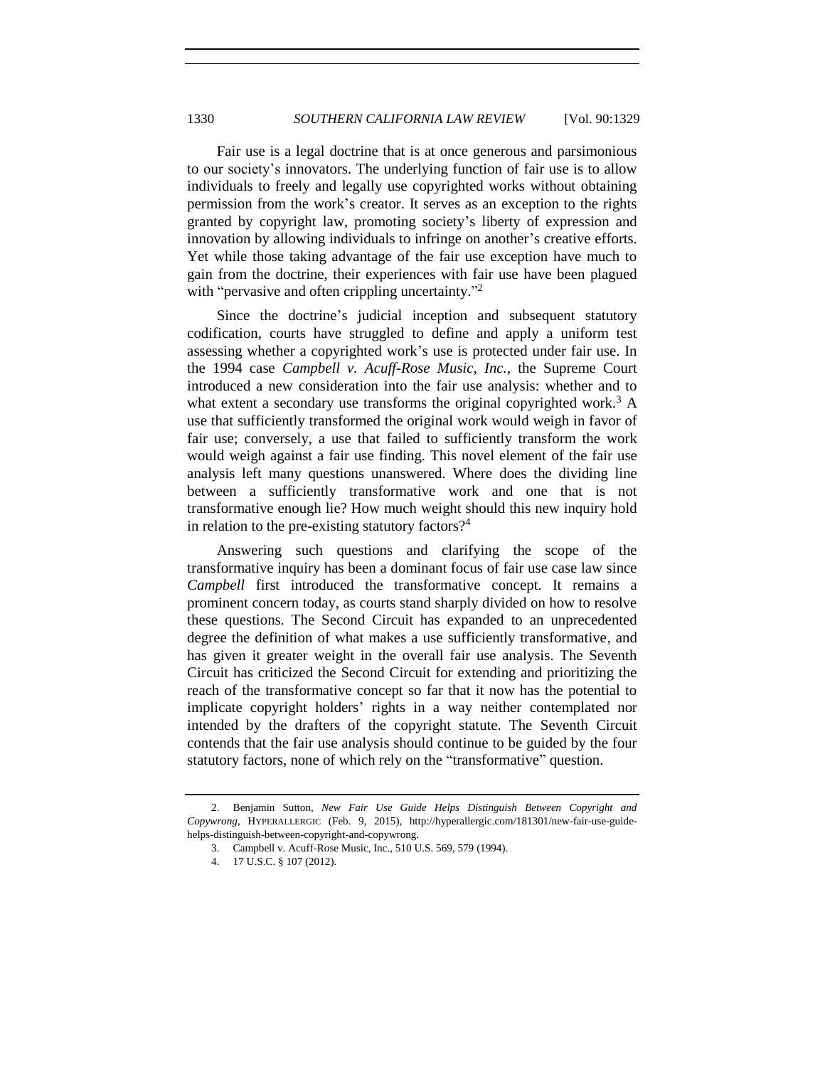Fair use is a legal doctrine that is at once generous and parsimonious to our society's innovators. The underlying function of fair use is to allow individuals to freely and legally use copyrighted works without obtaining permission from the work's creator. It serves as an exception to the rights granted by copyright law, promoting society's liberty of expression and innovation by allowing individuals to infringe on another's creative efforts. Yet while those taking advantage of the fair use exception have much to gain from the doctrine, their experiences with fair use have been plagued with "pervasive and often crippling uncertainty."<sup>2</sup>

Since the doctrine's judicial inception and subsequent statutory codification, courts have struggled to define and apply a uniform test assessing whether a copyrighted work's use is protected under fair use. In the 1994 case *Campbell v. Acuff-Rose Music, Inc.*, the Supreme Court introduced a new consideration into the fair use analysis: whether and to what extent a secondary use transforms the original copyrighted work.<sup>3</sup> A use that sufficiently transformed the original work would weigh in favor of fair use; conversely, a use that failed to sufficiently transform the work would weigh against a fair use finding. This novel element of the fair use analysis left many questions unanswered. Where does the dividing line between a sufficiently transformative work and one that is not transformative enough lie? How much weight should this new inquiry hold in relation to the pre-existing statutory factors?<sup>4</sup>

Answering such questions and clarifying the scope of the transformative inquiry has been a dominant focus of fair use case law since *Campbell* first introduced the transformative concept. It remains a prominent concern today, as courts stand sharply divided on how to resolve these questions. The Second Circuit has expanded to an unprecedented degree the definition of what makes a use sufficiently transformative, and has given it greater weight in the overall fair use analysis. The Seventh Circuit has criticized the Second Circuit for extending and prioritizing the reach of the transformative concept so far that it now has the potential to implicate copyright holders' rights in a way neither contemplated nor intended by the drafters of the copyright statute. The Seventh Circuit contends that the fair use analysis should continue to be guided by the four statutory factors, none of which rely on the "transformative" question.

<sup>2.</sup> Benjamin Sutton, *New Fair Use Guide Helps Distinguish Between Copyright and Copywrong*, HYPERALLERGIC (Feb. 9, 2015), http://hyperallergic.com/181301/new-fair-use-guidehelps-distinguish-between-copyright-and-copywrong.

<sup>3.</sup> Campbell v. Acuff-Rose Music, Inc., 510 U.S. 569, 579 (1994).

<sup>4.</sup> 17 U.S.C. § 107 (2012).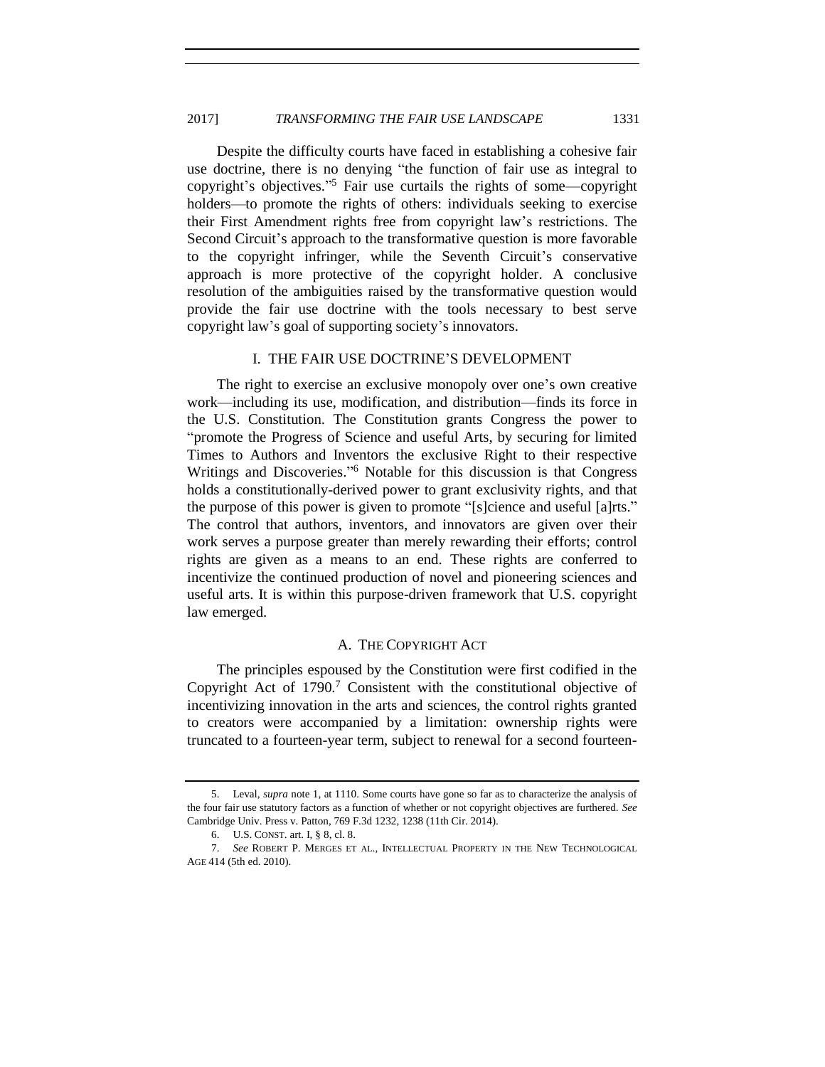# 2017] *TRANSFORMING THE FAIR USE LANDSCAPE* 1331

Despite the difficulty courts have faced in establishing a cohesive fair use doctrine, there is no denying "the function of fair use as integral to copyright's objectives." <sup>5</sup> Fair use curtails the rights of some—copyright holders—to promote the rights of others: individuals seeking to exercise their First Amendment rights free from copyright law's restrictions. The Second Circuit's approach to the transformative question is more favorable to the copyright infringer, while the Seventh Circuit's conservative approach is more protective of the copyright holder. A conclusive resolution of the ambiguities raised by the transformative question would provide the fair use doctrine with the tools necessary to best serve copyright law's goal of supporting society's innovators.

# I. THE FAIR USE DOCTRINE'S DEVELOPMENT

<span id="page-2-0"></span>The right to exercise an exclusive monopoly over one's own creative work—including its use, modification, and distribution—finds its force in the U.S. Constitution. The Constitution grants Congress the power to "promote the Progress of Science and useful Arts, by securing for limited Times to Authors and Inventors the exclusive Right to their respective Writings and Discoveries." <sup>6</sup> Notable for this discussion is that Congress holds a constitutionally-derived power to grant exclusivity rights, and that the purpose of this power is given to promote "[s]cience and useful [a]rts." The control that authors, inventors, and innovators are given over their work serves a purpose greater than merely rewarding their efforts; control rights are given as a means to an end. These rights are conferred to incentivize the continued production of novel and pioneering sciences and useful arts. It is within this purpose-driven framework that U.S. copyright law emerged.

# <span id="page-2-2"></span>A. THE COPYRIGHT ACT

<span id="page-2-1"></span>The principles espoused by the Constitution were first codified in the Copyright Act of  $1790$ .<sup>7</sup> Consistent with the constitutional objective of incentivizing innovation in the arts and sciences, the control rights granted to creators were accompanied by a limitation: ownership rights were truncated to a fourteen-year term, subject to renewal for a second fourteen-

<sup>5.</sup> Leval, *supra* not[e 1,](#page-0-0) at 1110. Some courts have gone so far as to characterize the analysis of the four fair use statutory factors as a function of whether or not copyright objectives are furthered. *See* Cambridge Univ. Press v. Patton, 769 F.3d 1232, 1238 (11th Cir. 2014).

<sup>6.</sup> U.S. CONST. art. I, § 8, cl. 8.

<sup>7.</sup> *See* ROBERT P. MERGES ET AL., INTELLECTUAL PROPERTY IN THE NEW TECHNOLOGICAL AGE 414 (5th ed. 2010).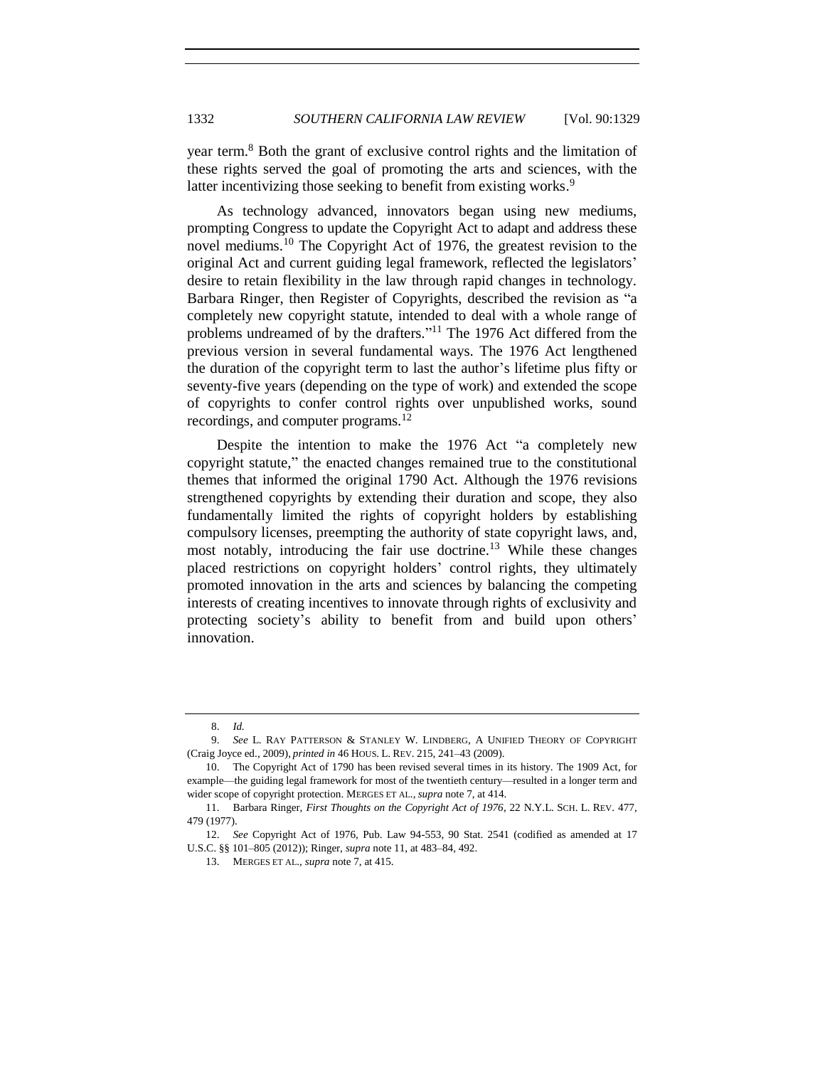year term.<sup>8</sup> Both the grant of exclusive control rights and the limitation of these rights served the goal of promoting the arts and sciences, with the latter incentivizing those seeking to benefit from existing works.<sup>9</sup>

As technology advanced, innovators began using new mediums, prompting Congress to update the Copyright Act to adapt and address these novel mediums.<sup>10</sup> The Copyright Act of 1976, the greatest revision to the original Act and current guiding legal framework, reflected the legislators' desire to retain flexibility in the law through rapid changes in technology. Barbara Ringer, then Register of Copyrights, described the revision as "a completely new copyright statute, intended to deal with a whole range of problems undreamed of by the drafters."<sup>11</sup> The 1976 Act differed from the previous version in several fundamental ways. The 1976 Act lengthened the duration of the copyright term to last the author's lifetime plus fifty or seventy-five years (depending on the type of work) and extended the scope of copyrights to confer control rights over unpublished works, sound recordings, and computer programs.<sup>12</sup>

<span id="page-3-1"></span>Despite the intention to make the 1976 Act "a completely new copyright statute," the enacted changes remained true to the constitutional themes that informed the original 1790 Act. Although the 1976 revisions strengthened copyrights by extending their duration and scope, they also fundamentally limited the rights of copyright holders by establishing compulsory licenses, preempting the authority of state copyright laws, and, most notably, introducing the fair use doctrine.<sup>13</sup> While these changes placed restrictions on copyright holders' control rights, they ultimately promoted innovation in the arts and sciences by balancing the competing interests of creating incentives to innovate through rights of exclusivity and protecting society's ability to benefit from and build upon others' innovation.

<span id="page-3-0"></span><sup>8.</sup> *Id.*

<sup>9.</sup> *See* L. RAY PATTERSON & STANLEY W. LINDBERG, A UNIFIED THEORY OF COPYRIGHT (Craig Joyce ed., 2009), *printed in* 46 HOUS. L. REV. 215, 241–43 (2009).

<sup>10.</sup> The Copyright Act of 1790 has been revised several times in its history. The 1909 Act, for example—the guiding legal framework for most of the twentieth century—resulted in a longer term and wider scope of copyright protection. MERGES ET AL., *supra* note [7,](#page-2-2) at 414.

<sup>11.</sup> Barbara Ringer, *First Thoughts on the Copyright Act of 1976*, 22 N.Y.L. SCH. L. REV. 477, 479 (1977).

<sup>12.</sup> *See* Copyright Act of 1976, Pub. Law 94-553, 90 Stat. 2541 (codified as amended at 17 U.S.C. §§ 101–805 (2012)); Ringer, *supra* not[e 11,](#page-3-1) at 483–84, 492.

<sup>13.</sup> MERGES ET AL., *supra* note [7,](#page-2-2) at 415.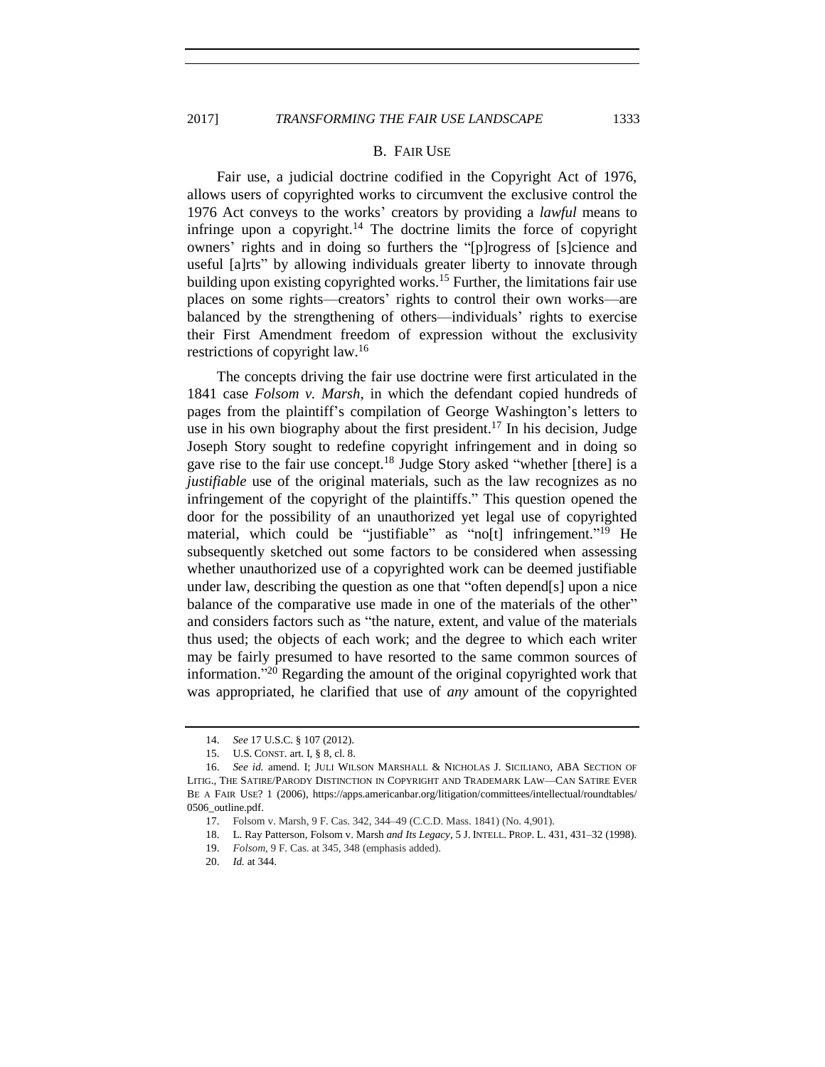## <span id="page-4-0"></span>B. FAIR USE

Fair use, a judicial doctrine codified in the Copyright Act of 1976, allows users of copyrighted works to circumvent the exclusive control the 1976 Act conveys to the works' creators by providing a *lawful* means to infringe upon a copyright.<sup>14</sup> The doctrine limits the force of copyright owners' rights and in doing so furthers the "[p]rogress of [s]cience and useful [a]rts" by allowing individuals greater liberty to innovate through building upon existing copyrighted works.<sup>15</sup> Further, the limitations fair use places on some rights—creators' rights to control their own works—are balanced by the strengthening of others—individuals' rights to exercise their First Amendment freedom of expression without the exclusivity restrictions of copyright law. 16

The concepts driving the fair use doctrine were first articulated in the 1841 case *Folsom v. Marsh*, in which the defendant copied hundreds of pages from the plaintiff's compilation of George Washington's letters to use in his own biography about the first president.<sup>17</sup> In his decision, Judge Joseph Story sought to redefine copyright infringement and in doing so gave rise to the fair use concept.<sup>18</sup> Judge Story asked "whether [there] is a *justifiable* use of the original materials, such as the law recognizes as no infringement of the copyright of the plaintiffs." This question opened the door for the possibility of an unauthorized yet legal use of copyrighted material, which could be "justifiable" as "no[t] infringement."<sup>19</sup> He subsequently sketched out some factors to be considered when assessing whether unauthorized use of a copyrighted work can be deemed justifiable under law, describing the question as one that "often depend[s] upon a nice balance of the comparative use made in one of the materials of the other" and considers factors such as "the nature, extent, and value of the materials thus used; the objects of each work; and the degree to which each writer may be fairly presumed to have resorted to the same common sources of information." <sup>20</sup> Regarding the amount of the original copyrighted work that was appropriated, he clarified that use of *any* amount of the copyrighted

<sup>14.</sup> *See* 17 U.S.C. § 107 (2012).

<sup>15.</sup> U.S. CONST. art. I, § 8, cl. 8.

See id. amend. I; JULI WILSON MARSHALL & NICHOLAS J. SICILIANO, ABA SECTION OF LITIG., THE SATIRE/PARODY DISTINCTION IN COPYRIGHT AND TRADEMARK LAW—CAN SATIRE EVER BE A FAIR USE? 1 (2006), https://apps.americanbar.org/litigation/committees/intellectual/roundtables/ 0506\_outline.pdf.

<sup>17.</sup> Folsom v. Marsh, 9 F. Cas. 342, 344–49 (C.C.D. Mass. 1841) (No. 4,901).

<sup>18.</sup> L. Ray Patterson, Folsom v. Marsh *and Its Legacy*, 5 J. INTELL. PROP. L. 431, 431–32 (1998).

<sup>19.</sup> *Folsom*, 9 F. Cas. at 345, 348 (emphasis added).

<sup>20.</sup> *Id.* at 344.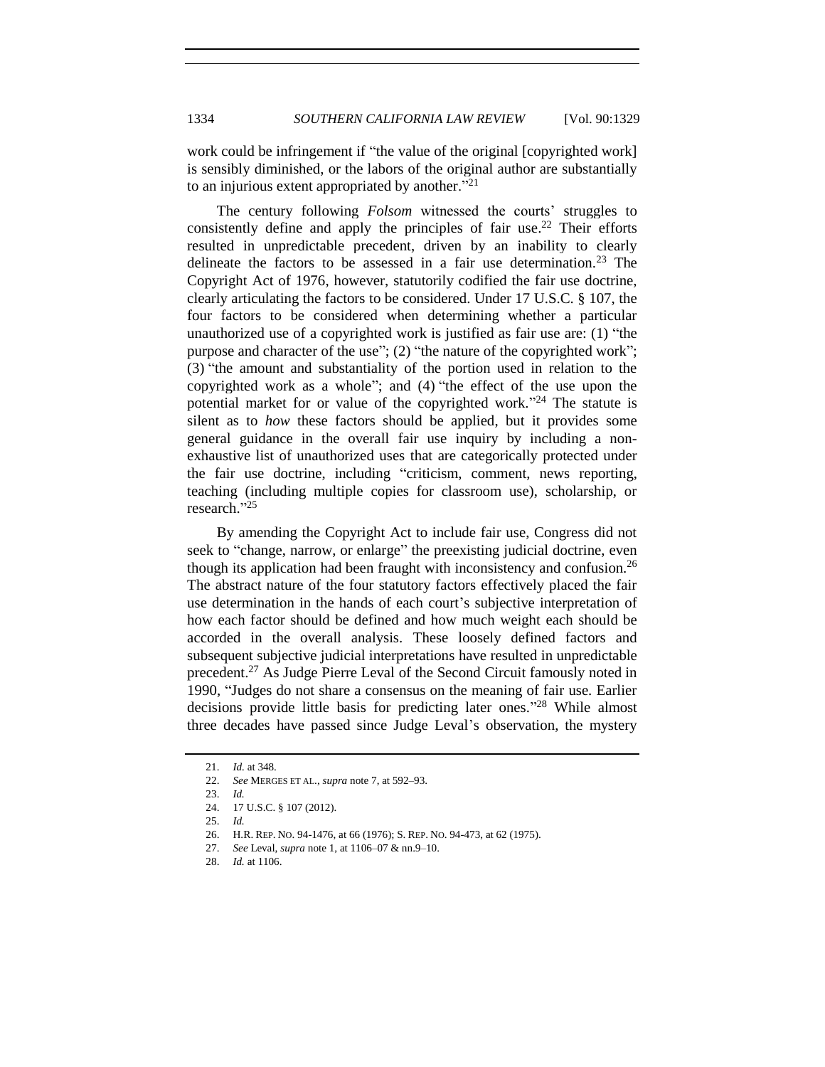work could be infringement if "the value of the original [copyrighted work] is sensibly diminished, or the labors of the original author are substantially to an injurious extent appropriated by another. $121$ 

The century following *Folsom* witnessed the courts' struggles to consistently define and apply the principles of fair use. <sup>22</sup> Their efforts resulted in unpredictable precedent, driven by an inability to clearly delineate the factors to be assessed in a fair use determination.<sup>23</sup> The Copyright Act of 1976, however, statutorily codified the fair use doctrine, clearly articulating the factors to be considered. Under 17 U.S.C. § 107, the four factors to be considered when determining whether a particular unauthorized use of a copyrighted work is justified as fair use are: (1) "the purpose and character of the use"; (2) "the nature of the copyrighted work"; (3) "the amount and substantiality of the portion used in relation to the copyrighted work as a whole"; and (4) "the effect of the use upon the potential market for or value of the copyrighted work."<sup>24</sup> The statute is silent as to *how* these factors should be applied, but it provides some general guidance in the overall fair use inquiry by including a nonexhaustive list of unauthorized uses that are categorically protected under the fair use doctrine, including "criticism, comment, news reporting, teaching (including multiple copies for classroom use), scholarship, or research." 25

By amending the Copyright Act to include fair use, Congress did not seek to "change, narrow, or enlarge" the preexisting judicial doctrine, even though its application had been fraught with inconsistency and confusion.<sup>26</sup> The abstract nature of the four statutory factors effectively placed the fair use determination in the hands of each court's subjective interpretation of how each factor should be defined and how much weight each should be accorded in the overall analysis. These loosely defined factors and subsequent subjective judicial interpretations have resulted in unpredictable precedent.<sup>27</sup> As Judge Pierre Leval of the Second Circuit famously noted in 1990, "Judges do not share a consensus on the meaning of fair use. Earlier decisions provide little basis for predicting later ones." <sup>28</sup> While almost three decades have passed since Judge Leval's observation, the mystery

<sup>21.</sup> *Id.* at 348.

<sup>22.</sup> *See* MERGES ET AL., *supra* note [7,](#page-2-2) at 592–93.

<sup>23.</sup> *Id.*

<sup>24.</sup> 17 U.S.C. § 107 (2012).

<sup>25.</sup> *Id.*

<sup>26.</sup> H.R. REP. NO. 94-1476, at 66 (1976); S. REP. NO. 94-473, at 62 (1975).

<sup>27.</sup> *See* Leval, *supra* not[e 1,](#page-0-0) at 1106–07 & nn.9–10.

<sup>28.</sup> *Id.* at 1106.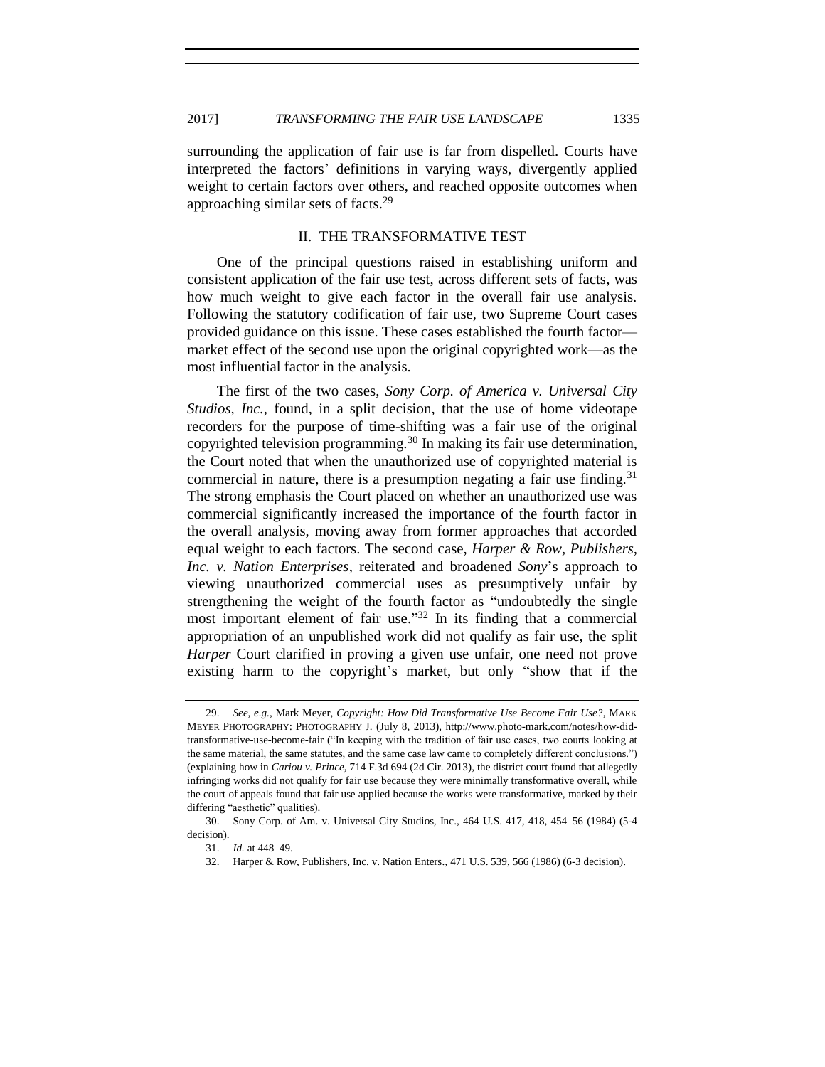surrounding the application of fair use is far from dispelled. Courts have interpreted the factors' definitions in varying ways, divergently applied weight to certain factors over others, and reached opposite outcomes when approaching similar sets of facts.<sup>29</sup>

## <span id="page-6-2"></span>II. THE TRANSFORMATIVE TEST

<span id="page-6-0"></span>One of the principal questions raised in establishing uniform and consistent application of the fair use test, across different sets of facts, was how much weight to give each factor in the overall fair use analysis. Following the statutory codification of fair use, two Supreme Court cases provided guidance on this issue. These cases established the fourth factor market effect of the second use upon the original copyrighted work—as the most influential factor in the analysis.

<span id="page-6-1"></span>The first of the two cases, *Sony Corp. of America v. Universal City Studios, Inc.*, found, in a split decision, that the use of home videotape recorders for the purpose of time-shifting was a fair use of the original copyrighted television programming.<sup>30</sup> In making its fair use determination, the Court noted that when the unauthorized use of copyrighted material is commercial in nature, there is a presumption negating a fair use finding.<sup>31</sup> The strong emphasis the Court placed on whether an unauthorized use was commercial significantly increased the importance of the fourth factor in the overall analysis, moving away from former approaches that accorded equal weight to each factors. The second case, *Harper & Row, Publishers, Inc. v. Nation Enterprises*, reiterated and broadened *Sony*'s approach to viewing unauthorized commercial uses as presumptively unfair by strengthening the weight of the fourth factor as "undoubtedly the single most important element of fair use."<sup>32</sup> In its finding that a commercial appropriation of an unpublished work did not qualify as fair use, the split *Harper* Court clarified in proving a given use unfair, one need not prove existing harm to the copyright's market, but only "show that if the

<sup>29.</sup> *See, e.g.*, Mark Meyer, *Copyright: How Did Transformative Use Become Fair Use?*, MARK MEYER PHOTOGRAPHY: PHOTOGRAPHY J. (July 8, 2013), http://www.photo-mark.com/notes/how-didtransformative-use-become-fair ("In keeping with the tradition of fair use cases, two courts looking at the same material, the same statutes, and the same case law came to completely different conclusions.") (explaining how in *Cariou v. Prince*, 714 F.3d 694 (2d Cir. 2013), the district court found that allegedly infringing works did not qualify for fair use because they were minimally transformative overall, while the court of appeals found that fair use applied because the works were transformative, marked by their differing "aesthetic" qualities).

<sup>30.</sup> Sony Corp. of Am. v. Universal City Studios, Inc., 464 U.S. 417, 418, 454–56 (1984) (5-4 decision).

<sup>31.</sup> *Id.* at 448–49.

<sup>32.</sup> Harper & Row, Publishers, Inc. v. Nation Enters., 471 U.S. 539, 566 (1986) (6-3 decision).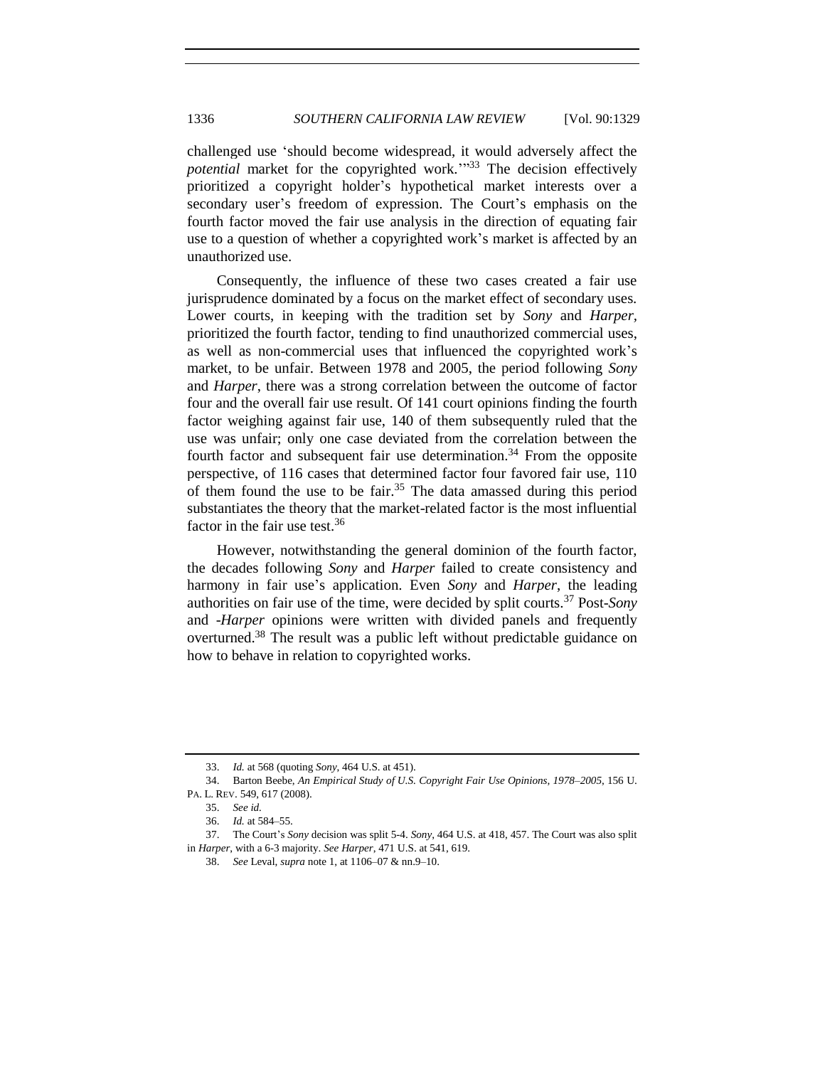challenged use 'should become widespread, it would adversely affect the *potential* market for the copyrighted work.'" <sup>33</sup> The decision effectively prioritized a copyright holder's hypothetical market interests over a secondary user's freedom of expression. The Court's emphasis on the fourth factor moved the fair use analysis in the direction of equating fair use to a question of whether a copyrighted work's market is affected by an unauthorized use.

Consequently, the influence of these two cases created a fair use jurisprudence dominated by a focus on the market effect of secondary uses. Lower courts, in keeping with the tradition set by *Sony* and *Harper,* prioritized the fourth factor, tending to find unauthorized commercial uses, as well as non-commercial uses that influenced the copyrighted work's market, to be unfair. Between 1978 and 2005, the period following *Sony* and *Harper*, there was a strong correlation between the outcome of factor four and the overall fair use result. Of 141 court opinions finding the fourth factor weighing against fair use, 140 of them subsequently ruled that the use was unfair; only one case deviated from the correlation between the fourth factor and subsequent fair use determination.<sup>34</sup> From the opposite perspective, of 116 cases that determined factor four favored fair use, 110 of them found the use to be fair.<sup>35</sup> The data amassed during this period substantiates the theory that the market-related factor is the most influential factor in the fair use test.<sup>36</sup>

<span id="page-7-1"></span>However, notwithstanding the general dominion of the fourth factor, the decades following *Sony* and *Harper* failed to create consistency and harmony in fair use's application. Even *Sony* and *Harper*, the leading authorities on fair use of the time, were decided by split courts.<sup>37</sup> Post-*Sony* and -*Harper* opinions were written with divided panels and frequently overturned.<sup>38</sup> The result was a public left without predictable guidance on how to behave in relation to copyrighted works.

<span id="page-7-0"></span><sup>33.</sup> *Id.* at 568 (quoting *Sony*, 464 U.S. at 451).

<sup>34.</sup> Barton Beebe, *An Empirical Study of U.S. Copyright Fair Use Opinions, 1978–2005*, 156 U. PA. L. REV. 549, 617 (2008).

<sup>35.</sup> *See id.*

<sup>36.</sup> *Id.* at 584–55.

<sup>37.</sup> The Court's *Sony* decision was split 5-4. *Sony*, 464 U.S. at 418, 457. The Court was also split in *Harper*, with a 6-3 majority. *See Harper*, 471 U.S. at 541, 619.

<sup>38.</sup> *See* Leval, *supra* not[e 1,](#page-0-0) at 1106–07 & nn.9–10.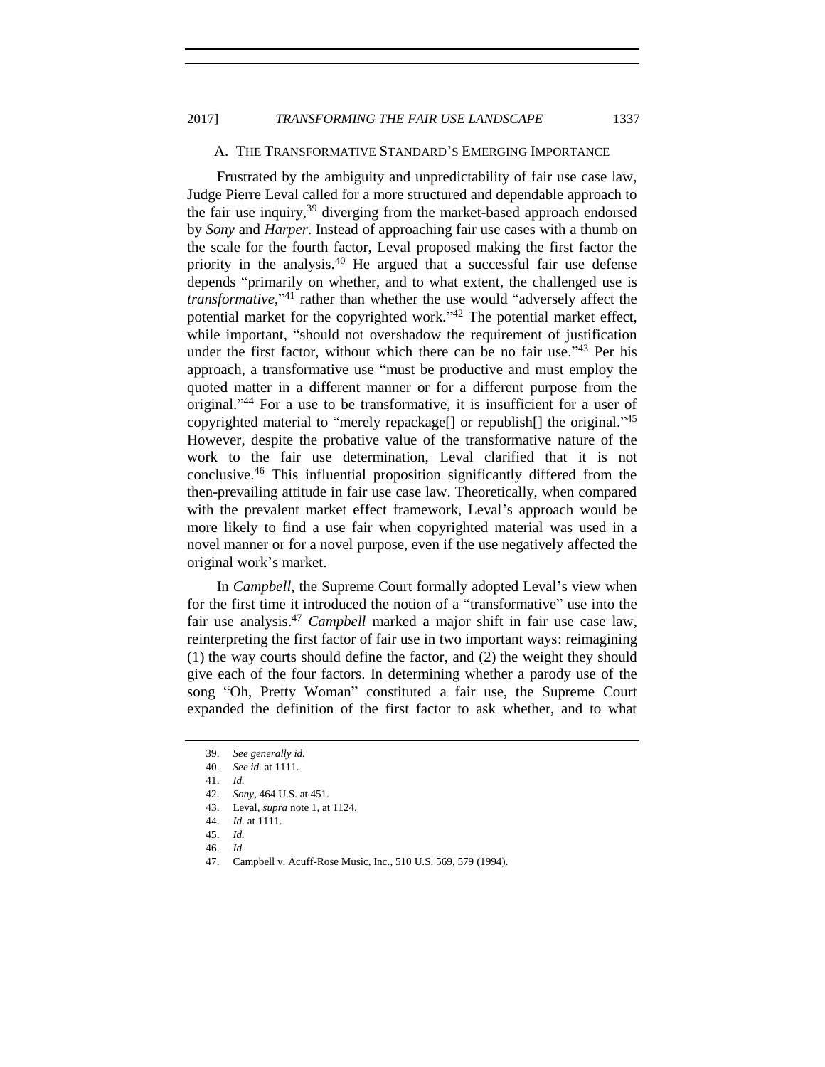# A. THE TRANSFORMATIVE STANDARD'S EMERGING IMPORTANCE

Frustrated by the ambiguity and unpredictability of fair use case law, Judge Pierre Leval called for a more structured and dependable approach to the fair use inquiry,<sup>39</sup> diverging from the market-based approach endorsed by *Sony* and *Harper*. Instead of approaching fair use cases with a thumb on the scale for the fourth factor, Leval proposed making the first factor the priority in the analysis.<sup>40</sup> He argued that a successful fair use defense depends "primarily on whether, and to what extent, the challenged use is *transformative*," <sup>41</sup> rather than whether the use would "adversely affect the potential market for the copyrighted work."<sup>42</sup> The potential market effect, while important, "should not overshadow the requirement of justification under the first factor, without which there can be no fair use."<sup>43</sup> Per his approach, a transformative use "must be productive and must employ the quoted matter in a different manner or for a different purpose from the original." <sup>44</sup> For a use to be transformative, it is insufficient for a user of copyrighted material to "merely repackage<sup>[]</sup> or republish<sup>[]</sup> the original."<sup>45</sup> However, despite the probative value of the transformative nature of the work to the fair use determination, Leval clarified that it is not conclusive.<sup>46</sup> This influential proposition significantly differed from the then-prevailing attitude in fair use case law. Theoretically, when compared with the prevalent market effect framework, Leval's approach would be more likely to find a use fair when copyrighted material was used in a novel manner or for a novel purpose, even if the use negatively affected the original work's market.

In *Campbell*, the Supreme Court formally adopted Leval's view when for the first time it introduced the notion of a "transformative" use into the fair use analysis. <sup>47</sup> *Campbell* marked a major shift in fair use case law, reinterpreting the first factor of fair use in two important ways: reimagining (1) the way courts should define the factor, and (2) the weight they should give each of the four factors. In determining whether a parody use of the song "Oh, Pretty Woman" constituted a fair use, the Supreme Court expanded the definition of the first factor to ask whether, and to what

<sup>39.</sup> *See generally id.*

<sup>40.</sup> *See id.* at 1111.

<sup>41.</sup> *Id.*

<sup>42.</sup> *Sony*, 464 U.S. at 451.

<sup>43.</sup> Leval, *supra* not[e 1,](#page-0-0) at 1124.

<sup>44.</sup> *Id.* at 1111.

<sup>45.</sup> *Id.*

<sup>46.</sup> *Id.*

<sup>47.</sup> Campbell v. Acuff-Rose Music, Inc., 510 U.S. 569, 579 (1994).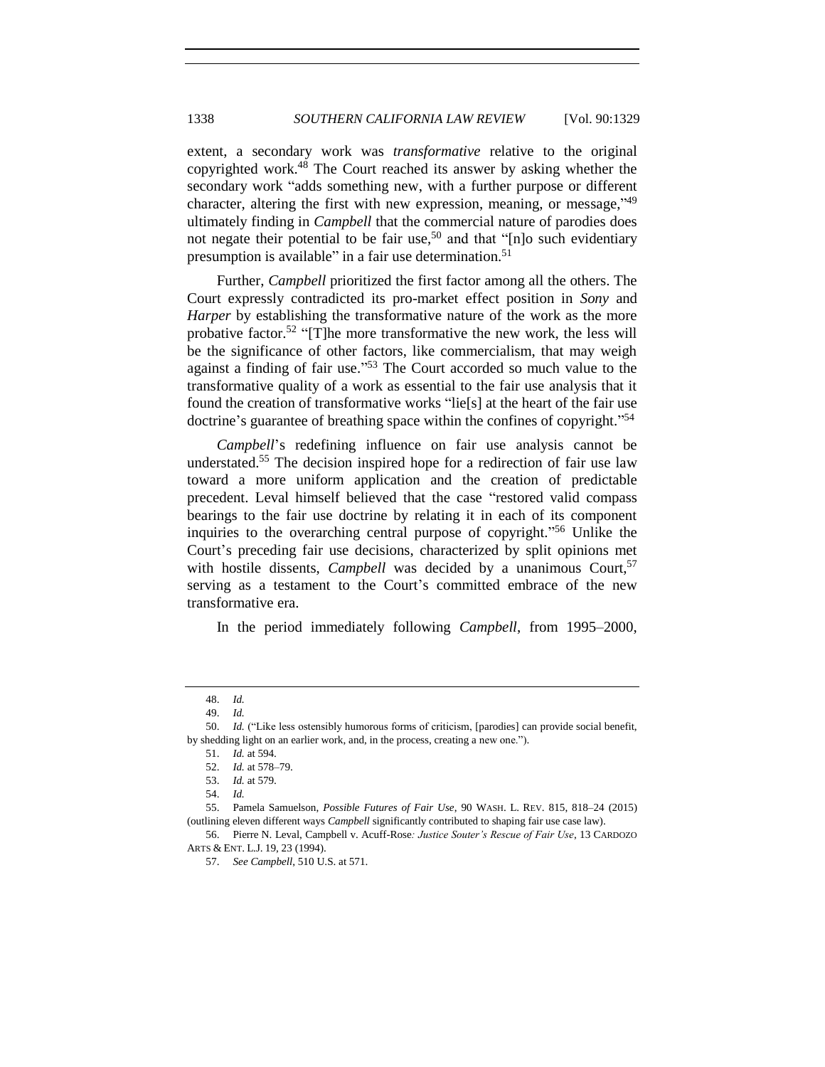extent, a secondary work was *transformative* relative to the original copyrighted work.<sup>48</sup> The Court reached its answer by asking whether the secondary work "adds something new, with a further purpose or different character, altering the first with new expression, meaning, or message,"49 ultimately finding in *Campbell* that the commercial nature of parodies does not negate their potential to be fair use,<sup>50</sup> and that " $[n]$ <sup>o</sup> such evidentiary presumption is available" in a fair use determination.<sup>51</sup>

Further, *Campbell* prioritized the first factor among all the others. The Court expressly contradicted its pro-market effect position in *Sony* and *Harper* by establishing the transformative nature of the work as the more probative factor.<sup>52</sup> "[T]he more transformative the new work, the less will be the significance of other factors, like commercialism, that may weigh against a finding of fair use."<sup>53</sup> The Court accorded so much value to the transformative quality of a work as essential to the fair use analysis that it found the creation of transformative works "lie[s] at the heart of the fair use doctrine's guarantee of breathing space within the confines of copyright." 54

*Campbell*'s redefining influence on fair use analysis cannot be understated.<sup>55</sup> The decision inspired hope for a redirection of fair use law toward a more uniform application and the creation of predictable precedent. Leval himself believed that the case "restored valid compass bearings to the fair use doctrine by relating it in each of its component inquiries to the overarching central purpose of copyright." <sup>56</sup> Unlike the Court's preceding fair use decisions, characterized by split opinions met with hostile dissents, *Campbell* was decided by a unanimous Court,<sup>57</sup> serving as a testament to the Court's committed embrace of the new transformative era.

<span id="page-9-0"></span>In the period immediately following *Campbell*, from 1995–2000,

<sup>48.</sup> *Id.*

<sup>49.</sup> *Id.*

<sup>50.</sup> *Id.* ("Like less ostensibly humorous forms of criticism, [parodies] can provide social benefit, by shedding light on an earlier work, and, in the process, creating a new one.").

<sup>51.</sup> *Id.* at 594.

<sup>52.</sup> *Id.* at 578–79.

<sup>53.</sup> *Id.* at 579.

<sup>54.</sup> *Id.*

<sup>55.</sup> Pamela Samuelson, *Possible Futures of Fair Use*, 90 WASH. L. REV. 815, 818–24 (2015) (outlining eleven different ways *Campbell* significantly contributed to shaping fair use case law).

<sup>56.</sup> Pierre N. Leval, Campbell v. Acuff-Rose*: Justice Souter's Rescue of Fair Use*, 13 CARDOZO ARTS & ENT. L.J. 19, 23 (1994).

<sup>57.</sup> *See Campbell*, 510 U.S. at 571.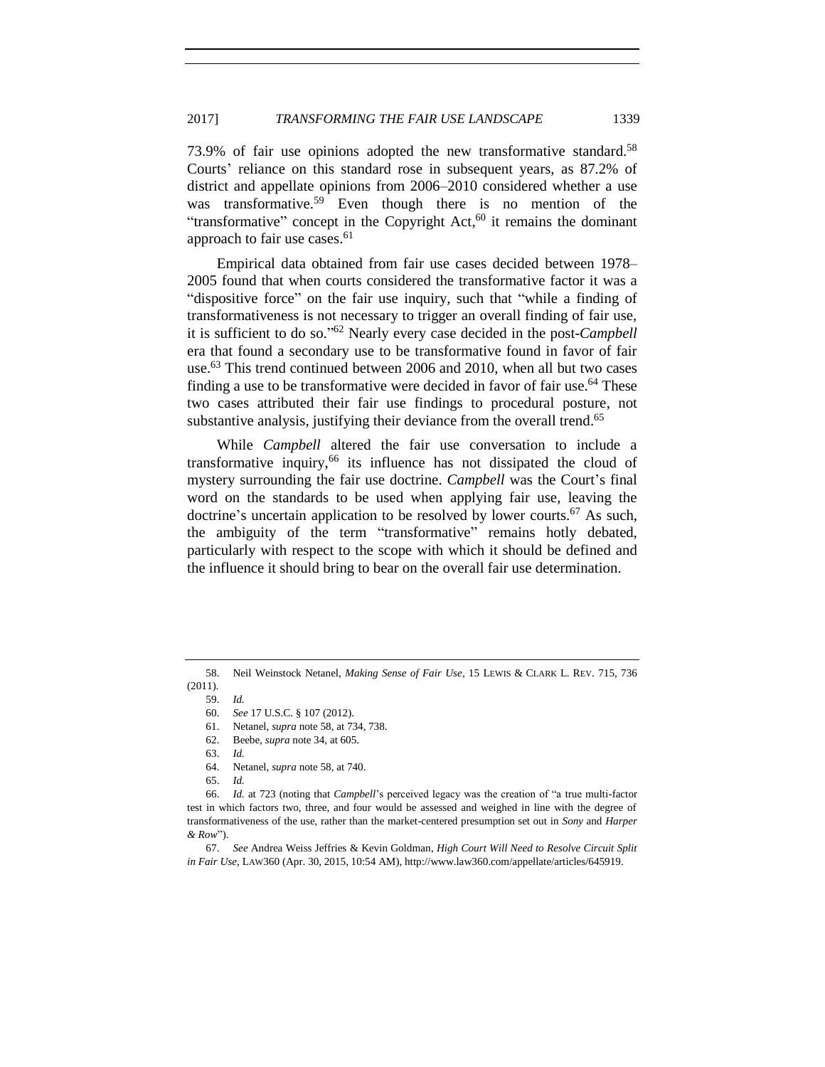<span id="page-10-1"></span>73.9% of fair use opinions adopted the new transformative standard.<sup>58</sup> Courts' reliance on this standard rose in subsequent years, as 87.2% of district and appellate opinions from 2006–2010 considered whether a use was transformative.<sup>59</sup> Even though there is no mention of the "transformative" concept in the Copyright  $Act<sub>1</sub><sup>60</sup>$  it remains the dominant approach to fair use cases.<sup>61</sup>

Empirical data obtained from fair use cases decided between 1978– 2005 found that when courts considered the transformative factor it was a "dispositive force" on the fair use inquiry, such that "while a finding of transformativeness is not necessary to trigger an overall finding of fair use, it is sufficient to do so." <sup>62</sup> Nearly every case decided in the post-*Campbell*  era that found a secondary use to be transformative found in favor of fair use.<sup>63</sup> This trend continued between 2006 and 2010, when all but two cases finding a use to be transformative were decided in favor of fair use.<sup>64</sup> These two cases attributed their fair use findings to procedural posture, not substantive analysis, justifying their deviance from the overall trend.<sup>65</sup>

<span id="page-10-3"></span><span id="page-10-2"></span>While *Campbell* altered the fair use conversation to include a transformative inquiry,<sup>66</sup> its influence has not dissipated the cloud of mystery surrounding the fair use doctrine. *Campbell* was the Court's final word on the standards to be used when applying fair use, leaving the doctrine's uncertain application to be resolved by lower courts.<sup>67</sup> As such, the ambiguity of the term "transformative" remains hotly debated, particularly with respect to the scope with which it should be defined and the influence it should bring to bear on the overall fair use determination.

<span id="page-10-0"></span><sup>58.</sup> Neil Weinstock Netanel, *Making Sense of Fair Use*, 15 LEWIS & CLARK L. REV. 715, 736 (2011).

<sup>59.</sup> *Id.*

<sup>60.</sup> *See* 17 U.S.C. § 107 (2012).

<sup>61.</sup> Netanel, *supra* note [58,](#page-10-1) at 734, 738.

<sup>62.</sup> Beebe, *supra* note 34, at 605.

<sup>63.</sup> *Id.*

<sup>64.</sup> Netanel, *supra* note [58,](#page-10-1) at 740.

<sup>65.</sup> *Id.*

<sup>66.</sup> *Id.* at 723 (noting that *Campbell*'s perceived legacy was the creation of "a true multi-factor test in which factors two, three, and four would be assessed and weighed in line with the degree of transformativeness of the use, rather than the market-centered presumption set out in *Sony* and *Harper & Row*").

<sup>67.</sup> *See* Andrea Weiss Jeffries & Kevin Goldman, *High Court Will Need to Resolve Circuit Split in Fair Use*, LAW360 (Apr. 30, 2015, 10:54 AM), http://www.law360.com/appellate/articles/645919.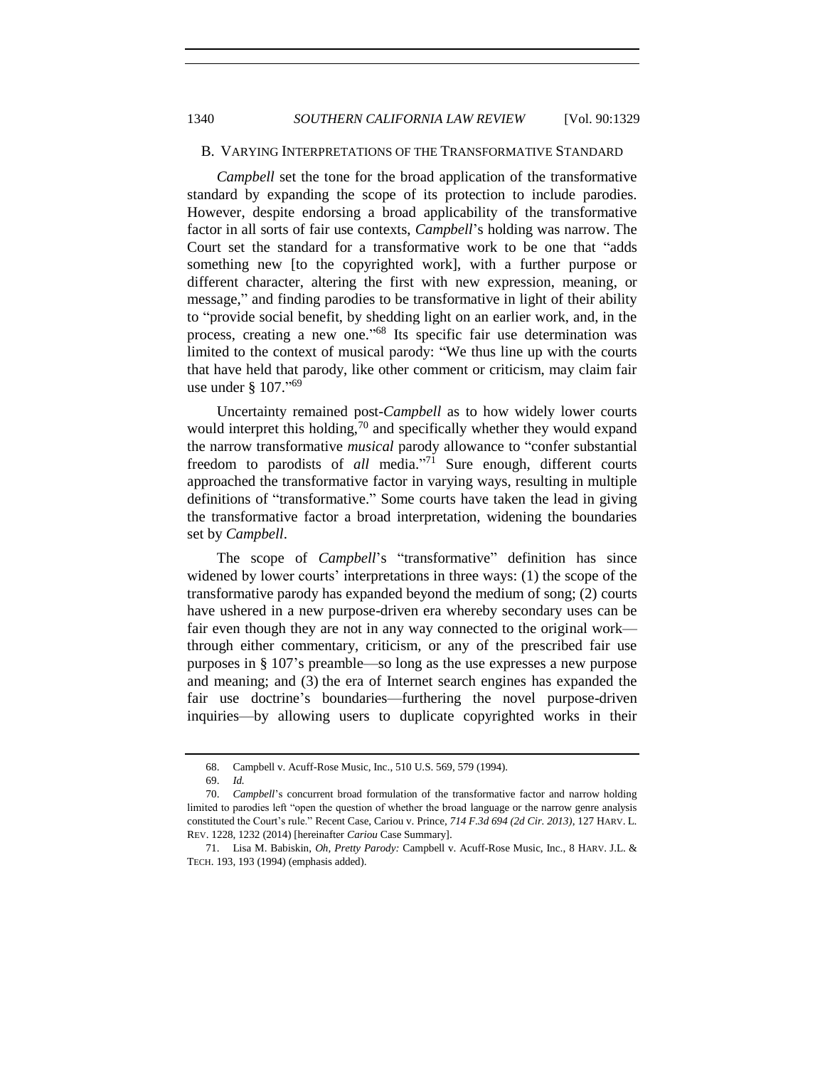## B. VARYING INTERPRETATIONS OF THE TRANSFORMATIVE STANDARD

*Campbell* set the tone for the broad application of the transformative standard by expanding the scope of its protection to include parodies. However, despite endorsing a broad applicability of the transformative factor in all sorts of fair use contexts, *Campbell*'s holding was narrow. The Court set the standard for a transformative work to be one that "adds something new [to the copyrighted work], with a further purpose or different character, altering the first with new expression, meaning, or message," and finding parodies to be transformative in light of their ability to "provide social benefit, by shedding light on an earlier work, and, in the process, creating a new one."<sup>68</sup> Its specific fair use determination was limited to the context of musical parody: "We thus line up with the courts that have held that parody, like other comment or criticism, may claim fair use under § 107." 69

<span id="page-11-1"></span><span id="page-11-0"></span>Uncertainty remained post-*Campbell* as to how widely lower courts would interpret this holding, $\frac{70}{2}$  and specifically whether they would expand the narrow transformative *musical* parody allowance to "confer substantial freedom to parodists of *all* media." <sup>71</sup> Sure enough, different courts approached the transformative factor in varying ways, resulting in multiple definitions of "transformative." Some courts have taken the lead in giving the transformative factor a broad interpretation, widening the boundaries set by *Campbell*.

The scope of *Campbell*'s "transformative" definition has since widened by lower courts' interpretations in three ways: (1) the scope of the transformative parody has expanded beyond the medium of song; (2) courts have ushered in a new purpose-driven era whereby secondary uses can be fair even though they are not in any way connected to the original work through either commentary, criticism, or any of the prescribed fair use purposes in § 107's preamble—so long as the use expresses a new purpose and meaning; and (3) the era of Internet search engines has expanded the fair use doctrine's boundaries—furthering the novel purpose-driven inquiries—by allowing users to duplicate copyrighted works in their

<sup>68.</sup> Campbell v. Acuff-Rose Music, Inc., 510 U.S. 569, 579 (1994).

<sup>69.</sup> *Id.*

<sup>70.</sup> *Campbell*'s concurrent broad formulation of the transformative factor and narrow holding limited to parodies left "open the question of whether the broad language or the narrow genre analysis constituted the Court's rule." Recent Case, Cariou v. Prince, *714 F.3d 694 (2d Cir. 2013)*, 127 HARV. L. REV. 1228, 1232 (2014) [hereinafter *Cariou* Case Summary].

<sup>71.</sup> Lisa M. Babiskin, *Oh, Pretty Parody:* Campbell v. Acuff-Rose Music, Inc., 8 HARV. J.L. & TECH. 193, 193 (1994) (emphasis added).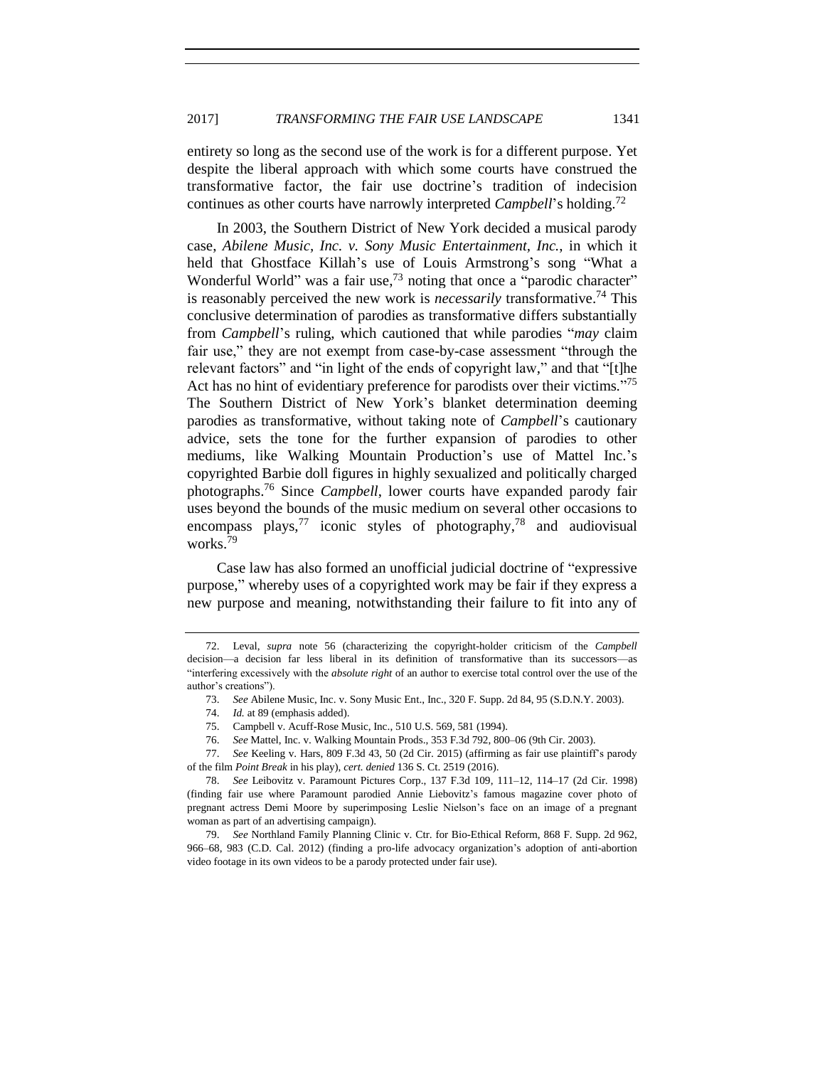entirety so long as the second use of the work is for a different purpose. Yet despite the liberal approach with which some courts have construed the transformative factor, the fair use doctrine's tradition of indecision continues as other courts have narrowly interpreted *Campbell*'s holding.<sup>72</sup>

In 2003, the Southern District of New York decided a musical parody case, *Abilene Music, Inc. v. Sony Music Entertainment, Inc.*, in which it held that Ghostface Killah's use of Louis Armstrong's song "What a Wonderful World" was a fair use,<sup>73</sup> noting that once a "parodic character" is reasonably perceived the new work is *necessarily* transformative. <sup>74</sup> This conclusive determination of parodies as transformative differs substantially from *Campbell*'s ruling, which cautioned that while parodies "*may* claim fair use," they are not exempt from case-by-case assessment "through the relevant factors" and "in light of the ends of copyright law," and that "[t]he Act has no hint of evidentiary preference for parodists over their victims."<sup>75</sup> The Southern District of New York's blanket determination deeming parodies as transformative, without taking note of *Campbell*'s cautionary advice, sets the tone for the further expansion of parodies to other mediums, like Walking Mountain Production's use of Mattel Inc.'s copyrighted Barbie doll figures in highly sexualized and politically charged photographs.<sup>76</sup> Since *Campbell*, lower courts have expanded parody fair uses beyond the bounds of the music medium on several other occasions to encompass plays,<sup>77</sup> iconic styles of photography,<sup>78</sup> and audiovisual works.<sup>79</sup>

Case law has also formed an unofficial judicial doctrine of "expressive purpose," whereby uses of a copyrighted work may be fair if they express a new purpose and meaning, notwithstanding their failure to fit into any of

77. *See* Keeling v. Hars, 809 F.3d 43, 50 (2d Cir. 2015) (affirming as fair use plaintiff's parody of the film *Point Break* in his play), *cert. denied* 136 S. Ct. 2519 (2016).

<sup>72.</sup> Leval, *supra* note [56](#page-9-0) (characterizing the copyright-holder criticism of the *Campbell* decision—a decision far less liberal in its definition of transformative than its successors—as "interfering excessively with the *absolute right* of an author to exercise total control over the use of the author's creations").

<sup>73.</sup> *See* Abilene Music, Inc. v. Sony Music Ent., Inc., 320 F. Supp. 2d 84, 95 (S.D.N.Y. 2003).

<sup>74.</sup> *Id.* at 89 (emphasis added).

<sup>75.</sup> Campbell v. Acuff-Rose Music, Inc., 510 U.S. 569, 581 (1994).

<sup>76.</sup> *See* Mattel, Inc. v. Walking Mountain Prods., 353 F.3d 792, 800–06 (9th Cir. 2003).

<sup>78.</sup> *See* Leibovitz v. Paramount Pictures Corp., 137 F.3d 109, 111–12, 114–17 (2d Cir. 1998) (finding fair use where Paramount parodied Annie Liebovitz's famous magazine cover photo of pregnant actress Demi Moore by superimposing Leslie Nielson's face on an image of a pregnant woman as part of an advertising campaign).

<sup>79.</sup> *See* Northland Family Planning Clinic v. Ctr. for Bio-Ethical Reform, 868 F. Supp. 2d 962, 966–68, 983 (C.D. Cal. 2012) (finding a pro-life advocacy organization's adoption of anti-abortion video footage in its own videos to be a parody protected under fair use).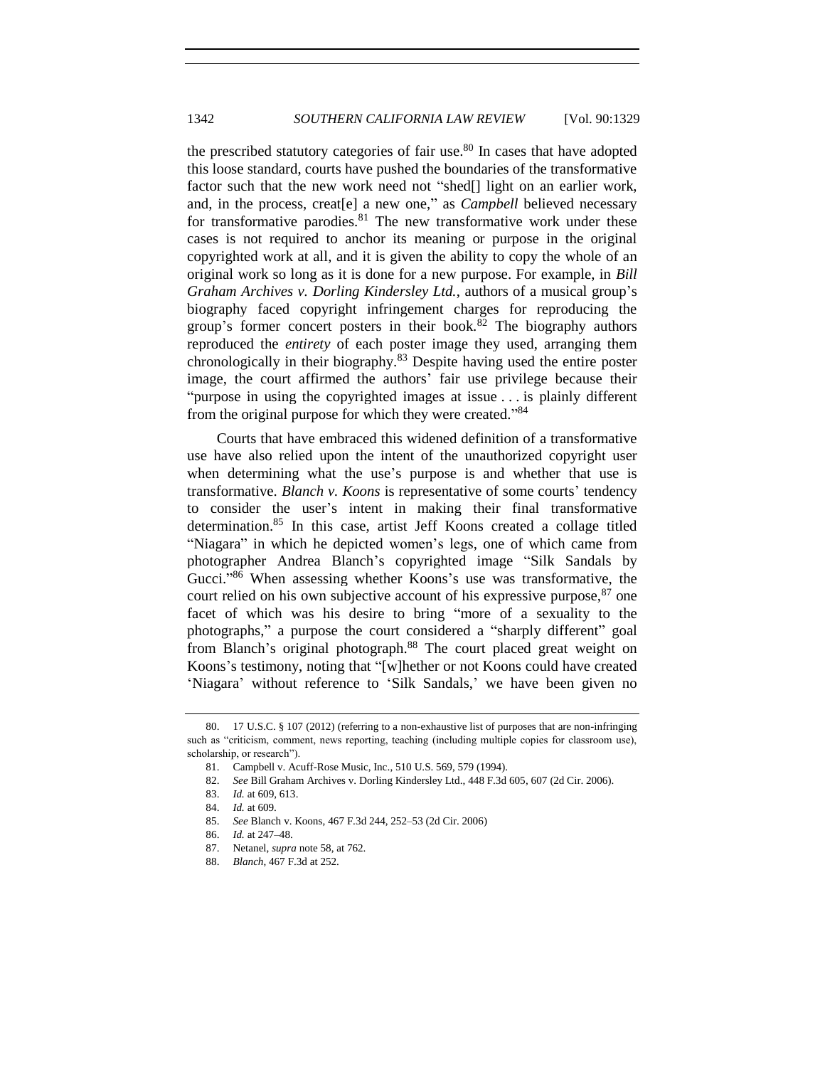the prescribed statutory categories of fair use. $80$  In cases that have adopted this loose standard, courts have pushed the boundaries of the transformative factor such that the new work need not "shed[] light on an earlier work, and, in the process, creat[e] a new one," as *Campbell* believed necessary for transformative parodies. $81$  The new transformative work under these cases is not required to anchor its meaning or purpose in the original copyrighted work at all, and it is given the ability to copy the whole of an original work so long as it is done for a new purpose. For example, in *Bill Graham Archives v. Dorling Kindersley Ltd.*, authors of a musical group's biography faced copyright infringement charges for reproducing the group's former concert posters in their book.<sup>82</sup> The biography authors reproduced the *entirety* of each poster image they used, arranging them chronologically in their biography.<sup>83</sup> Despite having used the entire poster image, the court affirmed the authors' fair use privilege because their "purpose in using the copyrighted images at issue . . . is plainly different from the original purpose for which they were created."<sup>84</sup>

Courts that have embraced this widened definition of a transformative use have also relied upon the intent of the unauthorized copyright user when determining what the use's purpose is and whether that use is transformative. *Blanch v. Koons* is representative of some courts' tendency to consider the user's intent in making their final transformative determination.<sup>85</sup> In this case, artist Jeff Koons created a collage titled "Niagara" in which he depicted women's legs, one of which came from photographer Andrea Blanch's copyrighted image "Silk Sandals by Gucci."<sup>86</sup> When assessing whether Koons's use was transformative, the court relied on his own subjective account of his expressive purpose,  $87$  one facet of which was his desire to bring "more of a sexuality to the photographs," a purpose the court considered a "sharply different" goal from Blanch's original photograph.<sup>88</sup> The court placed great weight on Koons's testimony, noting that "[w]hether or not Koons could have created 'Niagara' without reference to 'Silk Sandals,' we have been given no

<sup>80.</sup> 17 U.S.C. § 107 (2012) (referring to a non-exhaustive list of purposes that are non-infringing such as "criticism, comment, news reporting, teaching (including multiple copies for classroom use), scholarship, or research").

<sup>81.</sup> Campbell v. Acuff-Rose Music, Inc., 510 U.S. 569, 579 (1994).

<sup>82.</sup> *See* Bill Graham Archives v. Dorling Kindersley Ltd., 448 F.3d 605, 607 (2d Cir. 2006).

<sup>83.</sup> *Id.* at 609, 613.

<sup>84.</sup> *Id.* at 609.

<sup>85.</sup> *See* Blanch v. Koons, 467 F.3d 244, 252–53 (2d Cir. 2006)

<sup>86.</sup> *Id.* at 247–48.

<sup>87.</sup> Netanel, *supra* note [58,](#page-10-1) at 762.

<sup>88.</sup> *Blanch*, 467 F.3d at 252.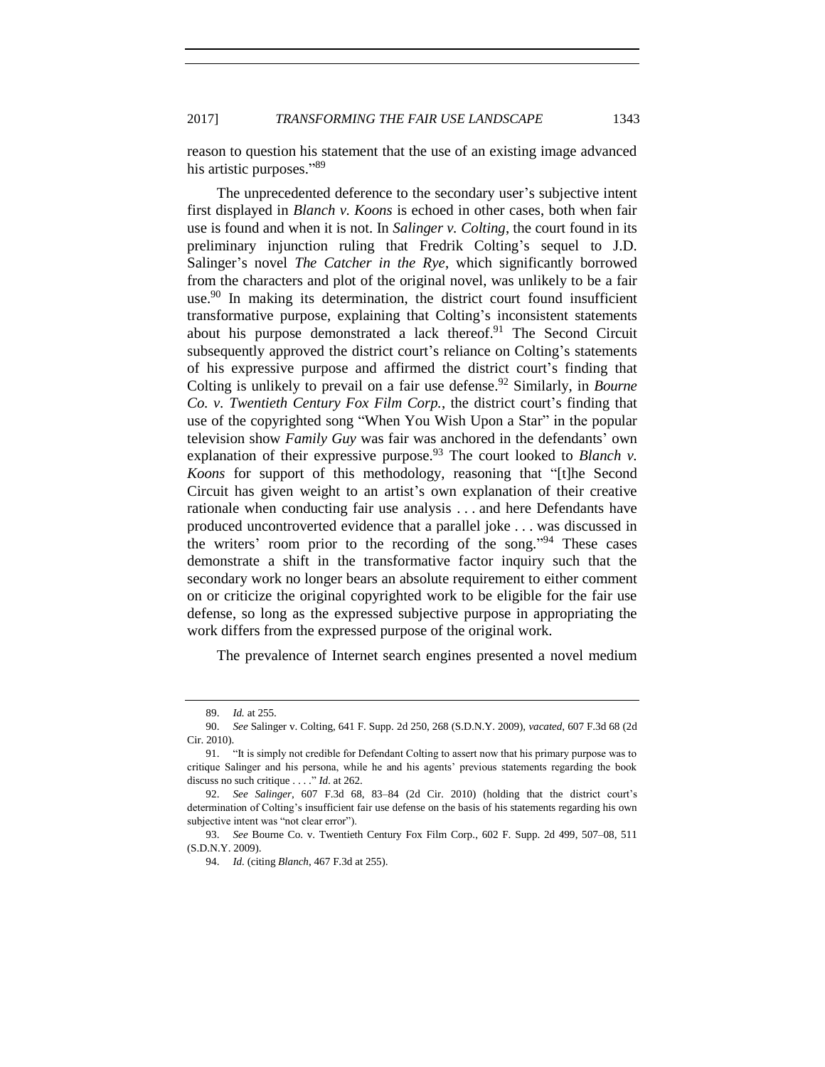2017] **TRANSFORMING THE FAIR USE LANDSCAPE** 1343

reason to question his statement that the use of an existing image advanced his artistic purposes."89

The unprecedented deference to the secondary user's subjective intent first displayed in *Blanch v. Koons* is echoed in other cases, both when fair use is found and when it is not. In *Salinger v. Colting*, the court found in its preliminary injunction ruling that Fredrik Colting's sequel to J.D. Salinger's novel *The Catcher in the Rye*, which significantly borrowed from the characters and plot of the original novel, was unlikely to be a fair use.<sup>90</sup> In making its determination, the district court found insufficient transformative purpose, explaining that Colting's inconsistent statements about his purpose demonstrated a lack thereof.<sup>91</sup> The Second Circuit subsequently approved the district court's reliance on Colting's statements of his expressive purpose and affirmed the district court's finding that Colting is unlikely to prevail on a fair use defense.<sup>92</sup> Similarly, in *Bourne Co. v. Twentieth Century Fox Film Corp.*, the district court's finding that use of the copyrighted song "When You Wish Upon a Star" in the popular television show *Family Guy* was fair was anchored in the defendants' own explanation of their expressive purpose.<sup>93</sup> The court looked to *Blanch v*. *Koons* for support of this methodology, reasoning that "[t]he Second Circuit has given weight to an artist's own explanation of their creative rationale when conducting fair use analysis . . . and here Defendants have produced uncontroverted evidence that a parallel joke . . . was discussed in the writers' room prior to the recording of the song."<sup>94</sup> These cases demonstrate a shift in the transformative factor inquiry such that the secondary work no longer bears an absolute requirement to either comment on or criticize the original copyrighted work to be eligible for the fair use defense, so long as the expressed subjective purpose in appropriating the work differs from the expressed purpose of the original work.

The prevalence of Internet search engines presented a novel medium

<sup>89.</sup> *Id.* at 255.

<sup>90.</sup> *See* Salinger v. Colting, 641 F. Supp. 2d 250, 268 (S.D.N.Y. 2009), *vacated*, 607 F.3d 68 (2d Cir. 2010).

<sup>91.</sup> "It is simply not credible for Defendant Colting to assert now that his primary purpose was to critique Salinger and his persona, while he and his agents' previous statements regarding the book discuss no such critique . . . ." *Id*. at 262.

<sup>92.</sup> *See Salinger*, 607 F.3d 68, 83–84 (2d Cir. 2010) (holding that the district court's determination of Colting's insufficient fair use defense on the basis of his statements regarding his own subjective intent was "not clear error").

<sup>93.</sup> *See* Bourne Co. v. Twentieth Century Fox Film Corp., 602 F. Supp. 2d 499, 507–08, 511 (S.D.N.Y. 2009).

<sup>94.</sup> *Id.* (citing *Blanch*, 467 F.3d at 255).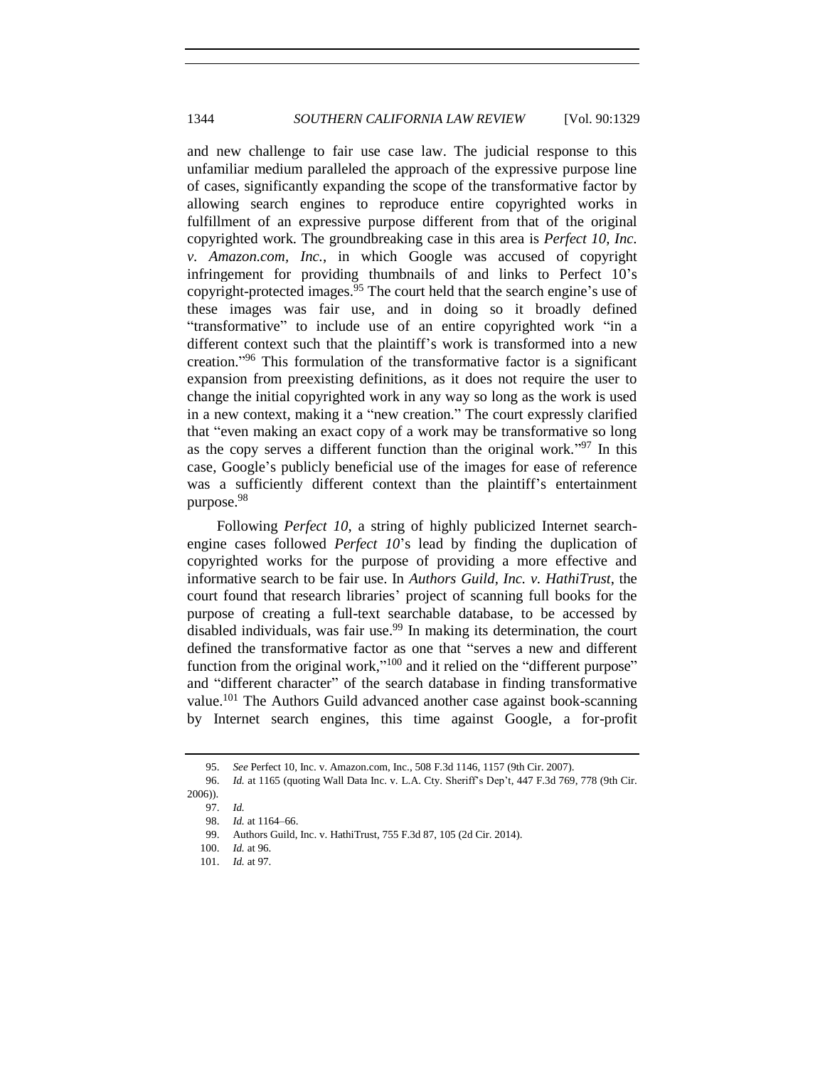and new challenge to fair use case law. The judicial response to this unfamiliar medium paralleled the approach of the expressive purpose line of cases, significantly expanding the scope of the transformative factor by allowing search engines to reproduce entire copyrighted works in fulfillment of an expressive purpose different from that of the original copyrighted work. The groundbreaking case in this area is *Perfect 10, Inc. v. Amazon.com, Inc.*, in which Google was accused of copyright infringement for providing thumbnails of and links to Perfect 10's copyright-protected images.<sup>95</sup> The court held that the search engine's use of these images was fair use, and in doing so it broadly defined "transformative" to include use of an entire copyrighted work "in a different context such that the plaintiff's work is transformed into a new creation." <sup>96</sup> This formulation of the transformative factor is a significant expansion from preexisting definitions, as it does not require the user to change the initial copyrighted work in any way so long as the work is used in a new context, making it a "new creation." The court expressly clarified that "even making an exact copy of a work may be transformative so long as the copy serves a different function than the original work."<sup>97</sup> In this case, Google's publicly beneficial use of the images for ease of reference was a sufficiently different context than the plaintiff's entertainment purpose.<sup>98</sup>

Following *Perfect 10*, a string of highly publicized Internet searchengine cases followed *Perfect 10*'s lead by finding the duplication of copyrighted works for the purpose of providing a more effective and informative search to be fair use. In *Authors Guild, Inc. v. HathiTrust*, the court found that research libraries' project of scanning full books for the purpose of creating a full-text searchable database, to be accessed by disabled individuals, was fair use.<sup>99</sup> In making its determination, the court defined the transformative factor as one that "serves a new and different function from the original work,"<sup>100</sup> and it relied on the "different purpose" and "different character" of the search database in finding transformative value.<sup>101</sup> The Authors Guild advanced another case against book-scanning by Internet search engines, this time against Google, a for-profit

<sup>95.</sup> *See* Perfect 10, Inc. v. Amazon.com, Inc., 508 F.3d 1146, 1157 (9th Cir. 2007).

<sup>96.</sup> *Id.* at 1165 (quoting Wall Data Inc. v. L.A. Cty. Sheriff's Dep't, 447 F.3d 769, 778 (9th Cir. 2006)).

<sup>97.</sup> *Id.*

<sup>98.</sup> *Id.* at 1164–66.

<sup>99.</sup> Authors Guild, Inc. v. HathiTrust, 755 F.3d 87, 105 (2d Cir. 2014).

<sup>100.</sup> *Id.* at 96.

<sup>101.</sup> *Id.* at 97.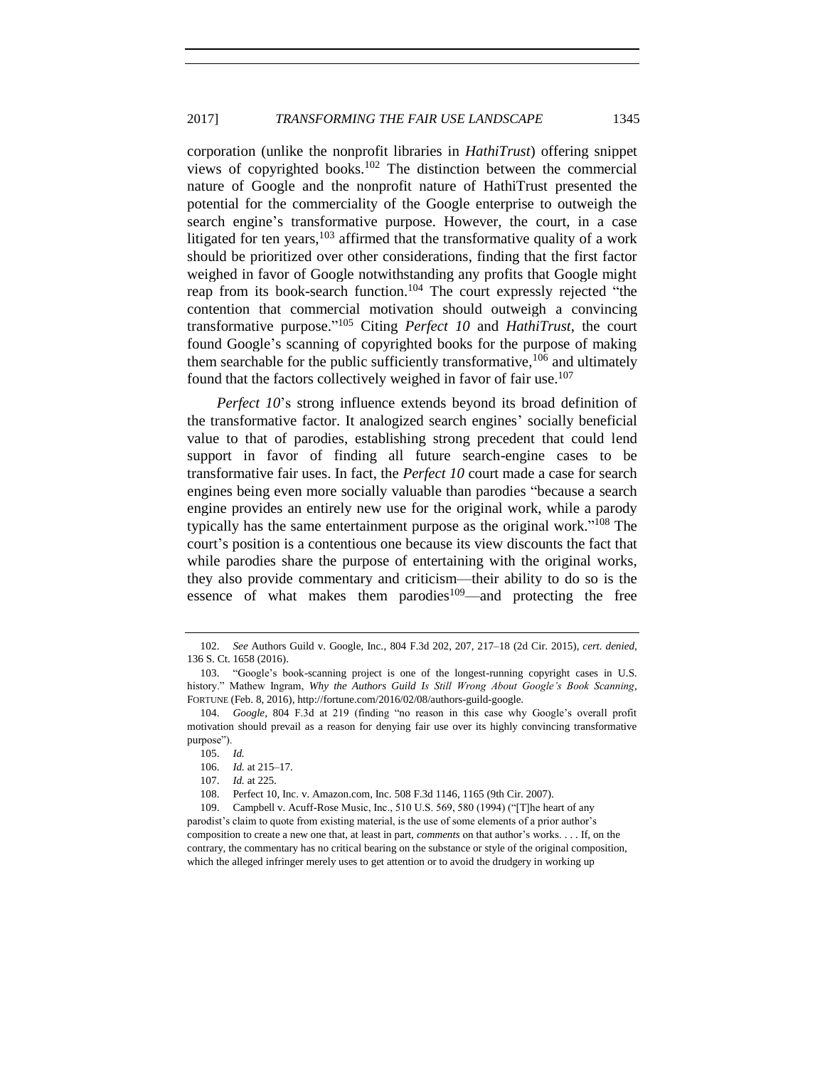corporation (unlike the nonprofit libraries in *HathiTrust*) offering snippet views of copyrighted books.<sup>102</sup> The distinction between the commercial nature of Google and the nonprofit nature of HathiTrust presented the potential for the commerciality of the Google enterprise to outweigh the search engine's transformative purpose. However, the court, in a case litigated for ten years,  $103$  affirmed that the transformative quality of a work should be prioritized over other considerations, finding that the first factor weighed in favor of Google notwithstanding any profits that Google might reap from its book-search function.<sup>104</sup> The court expressly rejected "the contention that commercial motivation should outweigh a convincing transformative purpose." <sup>105</sup> Citing *Perfect 10* and *HathiTrust*, the court found Google's scanning of copyrighted books for the purpose of making them searchable for the public sufficiently transformative,  $106$  and ultimately found that the factors collectively weighed in favor of fair use.<sup>107</sup>

*Perfect 10*'s strong influence extends beyond its broad definition of the transformative factor. It analogized search engines' socially beneficial value to that of parodies, establishing strong precedent that could lend support in favor of finding all future search-engine cases to be transformative fair uses. In fact, the *Perfect 10* court made a case for search engines being even more socially valuable than parodies "because a search engine provides an entirely new use for the original work, while a parody typically has the same entertainment purpose as the original work." <sup>108</sup> The court's position is a contentious one because its view discounts the fact that while parodies share the purpose of entertaining with the original works, they also provide commentary and criticism—their ability to do so is the essence of what makes them parodies<sup>109</sup>—and protecting the free

<sup>102.</sup> *See* Authors Guild v. Google, Inc., 804 F.3d 202, 207, 217–18 (2d Cir. 2015), *cert. denied*, 136 S. Ct. 1658 (2016).

<sup>103.</sup> "Google's book-scanning project is one of the longest-running copyright cases in U.S. history." Mathew Ingram, *Why the Authors Guild Is Still Wrong About Google's Book Scanning*, FORTUNE (Feb. 8, 2016), http://fortune.com/2016/02/08/authors-guild-google.

<sup>104.</sup> *Google*, 804 F.3d at 219 (finding "no reason in this case why Google's overall profit motivation should prevail as a reason for denying fair use over its highly convincing transformative purpose").

<sup>105.</sup> *Id.*

<sup>106.</sup> *Id.* at 215–17.

<sup>107.</sup> *Id.* at 225.

<sup>108.</sup> Perfect 10, Inc. v. Amazon.com, Inc. 508 F.3d 1146, 1165 (9th Cir. 2007).

<sup>109.</sup> Campbell v. Acuff-Rose Music, Inc., 510 U.S. 569, 580 (1994) ("[T]he heart of any parodist's claim to quote from existing material, is the use of some elements of a prior author's composition to create a new one that, at least in part, *comments* on that author's works. . . . If, on the

contrary, the commentary has no critical bearing on the substance or style of the original composition, which the alleged infringer merely uses to get attention or to avoid the drudgery in working up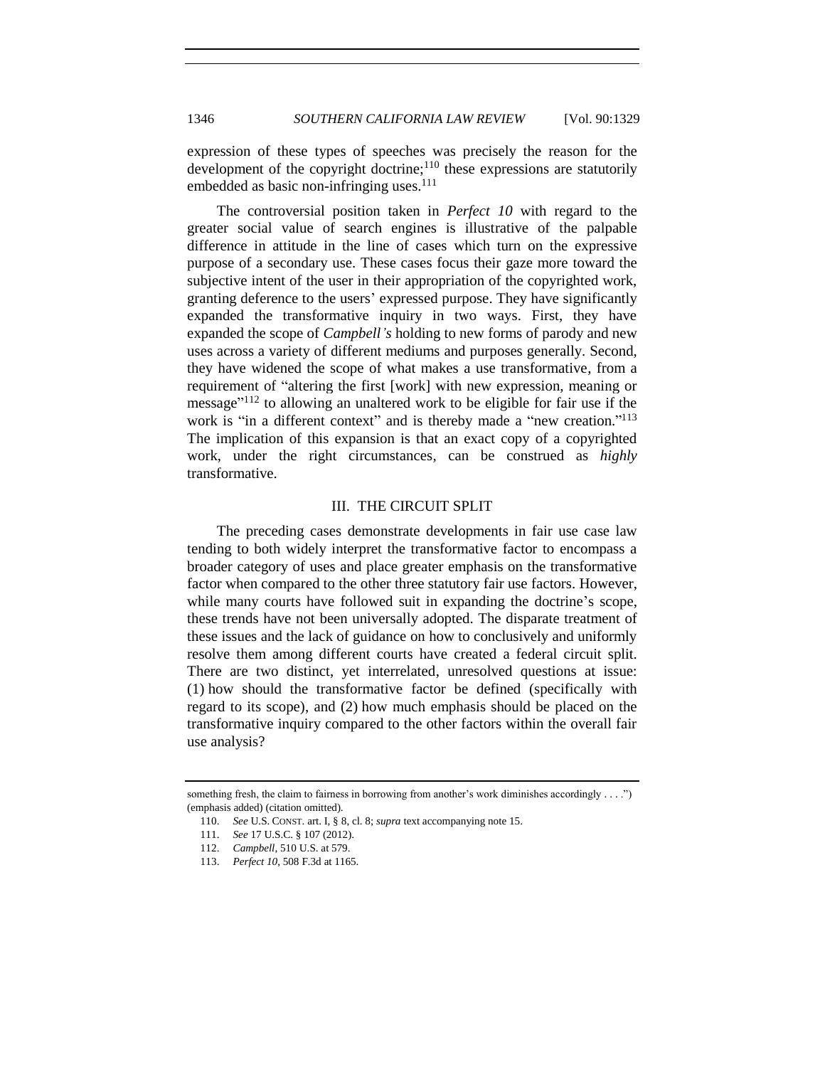expression of these types of speeches was precisely the reason for the development of the copyright doctrine;<sup>110</sup> these expressions are statutorily embedded as basic non-infringing uses. $^{111}$ 

The controversial position taken in *Perfect 10* with regard to the greater social value of search engines is illustrative of the palpable difference in attitude in the line of cases which turn on the expressive purpose of a secondary use. These cases focus their gaze more toward the subjective intent of the user in their appropriation of the copyrighted work, granting deference to the users' expressed purpose. They have significantly expanded the transformative inquiry in two ways. First, they have expanded the scope of *Campbell's* holding to new forms of parody and new uses across a variety of different mediums and purposes generally. Second, they have widened the scope of what makes a use transformative, from a requirement of "altering the first [work] with new expression, meaning or message"<sup>112</sup> to allowing an unaltered work to be eligible for fair use if the work is "in a different context" and is thereby made a "new creation."<sup>113</sup> The implication of this expansion is that an exact copy of a copyrighted work, under the right circumstances, can be construed as *highly* transformative.

## III. THE CIRCUIT SPLIT

<span id="page-17-0"></span>The preceding cases demonstrate developments in fair use case law tending to both widely interpret the transformative factor to encompass a broader category of uses and place greater emphasis on the transformative factor when compared to the other three statutory fair use factors. However, while many courts have followed suit in expanding the doctrine's scope, these trends have not been universally adopted. The disparate treatment of these issues and the lack of guidance on how to conclusively and uniformly resolve them among different courts have created a federal circuit split. There are two distinct, yet interrelated, unresolved questions at issue: (1) how should the transformative factor be defined (specifically with regard to its scope), and (2) how much emphasis should be placed on the transformative inquiry compared to the other factors within the overall fair use analysis?

something fresh, the claim to fairness in borrowing from another's work diminishes accordingly . . . .") (emphasis added) (citation omitted).

<sup>110.</sup> *See* U.S. CONST. art. I, § 8, cl. 8; *supra* text accompanying not[e 15.](#page-4-0)

<sup>111.</sup> *See* 17 U.S.C. § 107 (2012).

<sup>112.</sup> *Campbell*, 510 U.S. at 579.

<sup>113.</sup> *Perfect 10*, 508 F.3d at 1165.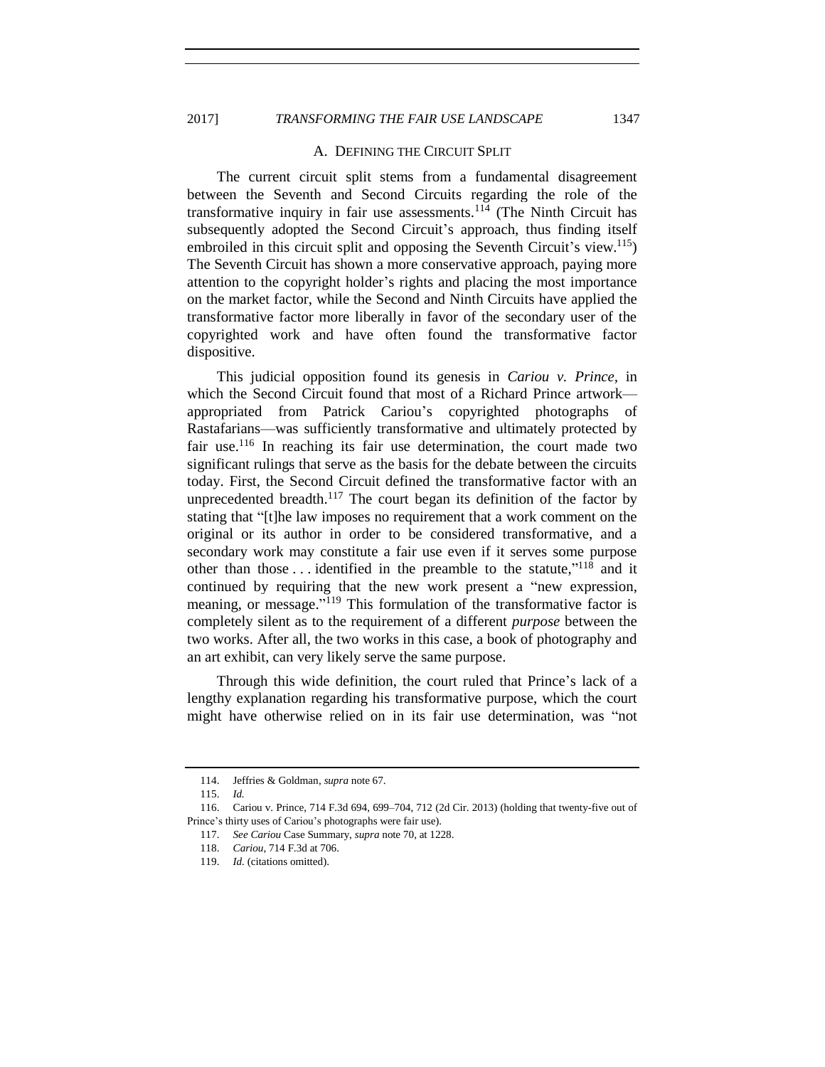2017] **TRANSFORMING THE FAIR USE LANDSCAPE** 1347

#### A. DEFINING THE CIRCUIT SPLIT

<span id="page-18-0"></span>The current circuit split stems from a fundamental disagreement between the Seventh and Second Circuits regarding the role of the transformative inquiry in fair use assessments.<sup>114</sup> (The Ninth Circuit has subsequently adopted the Second Circuit's approach, thus finding itself embroiled in this circuit split and opposing the Seventh Circuit's view.<sup>115</sup>) The Seventh Circuit has shown a more conservative approach, paying more attention to the copyright holder's rights and placing the most importance on the market factor, while the Second and Ninth Circuits have applied the transformative factor more liberally in favor of the secondary user of the copyrighted work and have often found the transformative factor dispositive.

This judicial opposition found its genesis in *Cariou v. Prince,* in which the Second Circuit found that most of a Richard Prince artwork appropriated from Patrick Cariou's copyrighted photographs of Rastafarians—was sufficiently transformative and ultimately protected by fair use.<sup>116</sup> In reaching its fair use determination, the court made two significant rulings that serve as the basis for the debate between the circuits today. First, the Second Circuit defined the transformative factor with an unprecedented breadth.<sup>117</sup> The court began its definition of the factor by stating that "[t]he law imposes no requirement that a work comment on the original or its author in order to be considered transformative, and a secondary work may constitute a fair use even if it serves some purpose other than those  $\dots$  identified in the preamble to the statute,"<sup>118</sup> and it continued by requiring that the new work present a "new expression, meaning, or message."<sup>119</sup> This formulation of the transformative factor is completely silent as to the requirement of a different *purpose* between the two works. After all, the two works in this case, a book of photography and an art exhibit, can very likely serve the same purpose.

Through this wide definition, the court ruled that Prince's lack of a lengthy explanation regarding his transformative purpose, which the court might have otherwise relied on in its fair use determination, was "not

<sup>114.</sup> Jeffries & Goldman, *supra* note [67.](#page-10-2) 

<sup>115.</sup> *Id.*

<sup>116.</sup> Cariou v. Prince, 714 F.3d 694, 699–704, 712 (2d Cir. 2013) (holding that twenty-five out of Prince's thirty uses of Cariou's photographs were fair use).

<sup>117.</sup> *See Cariou* Case Summary, *supra* note [70,](#page-11-0) at 1228.

<sup>118.</sup> *Cariou*, 714 F.3d at 706.

<sup>119.</sup> *Id.* (citations omitted).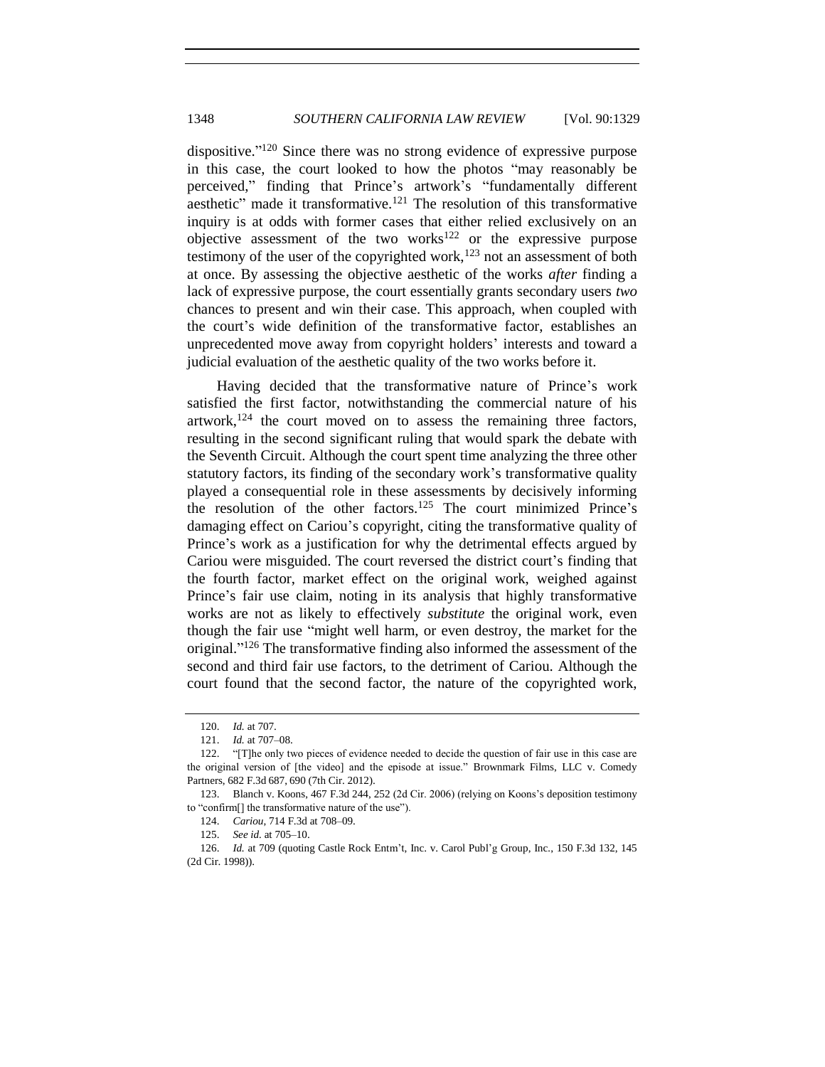dispositive."<sup>120</sup> Since there was no strong evidence of expressive purpose in this case, the court looked to how the photos "may reasonably be perceived," finding that Prince's artwork's "fundamentally different aesthetic" made it transformative.<sup>121</sup> The resolution of this transformative inquiry is at odds with former cases that either relied exclusively on an objective assessment of the two works<sup>122</sup> or the expressive purpose testimony of the user of the copyrighted work, $123$  not an assessment of both at once. By assessing the objective aesthetic of the works *after* finding a lack of expressive purpose, the court essentially grants secondary users *two* chances to present and win their case. This approach, when coupled with the court's wide definition of the transformative factor, establishes an unprecedented move away from copyright holders' interests and toward a judicial evaluation of the aesthetic quality of the two works before it.

Having decided that the transformative nature of Prince's work satisfied the first factor, notwithstanding the commercial nature of his artwork, $124$  the court moved on to assess the remaining three factors, resulting in the second significant ruling that would spark the debate with the Seventh Circuit. Although the court spent time analyzing the three other statutory factors, its finding of the secondary work's transformative quality played a consequential role in these assessments by decisively informing the resolution of the other factors.<sup>125</sup> The court minimized Prince's damaging effect on Cariou's copyright, citing the transformative quality of Prince's work as a justification for why the detrimental effects argued by Cariou were misguided. The court reversed the district court's finding that the fourth factor, market effect on the original work, weighed against Prince's fair use claim, noting in its analysis that highly transformative works are not as likely to effectively *substitute* the original work, even though the fair use "might well harm, or even destroy, the market for the original." <sup>126</sup> The transformative finding also informed the assessment of the second and third fair use factors, to the detriment of Cariou. Although the court found that the second factor, the nature of the copyrighted work,

<sup>120.</sup> *Id.* at 707.

<sup>121.</sup> *Id.* at 707–08.

<sup>122.</sup> "[T]he only two pieces of evidence needed to decide the question of fair use in this case are the original version of [the video] and the episode at issue." Brownmark Films, LLC v. Comedy Partners, 682 F.3d 687, 690 (7th Cir. 2012).

<sup>123.</sup> Blanch v. Koons, 467 F.3d 244, 252 (2d Cir. 2006) (relying on Koons's deposition testimony to "confirm[] the transformative nature of the use").

<sup>124.</sup> *Cariou*, 714 F.3d at 708–09.

<sup>125.</sup> *See id.* at 705–10.

<sup>126.</sup> *Id.* at 709 (quoting Castle Rock Entm't, Inc. v. Carol Publ'g Group, Inc*.*, 150 F.3d 132, 145 (2d Cir. 1998)).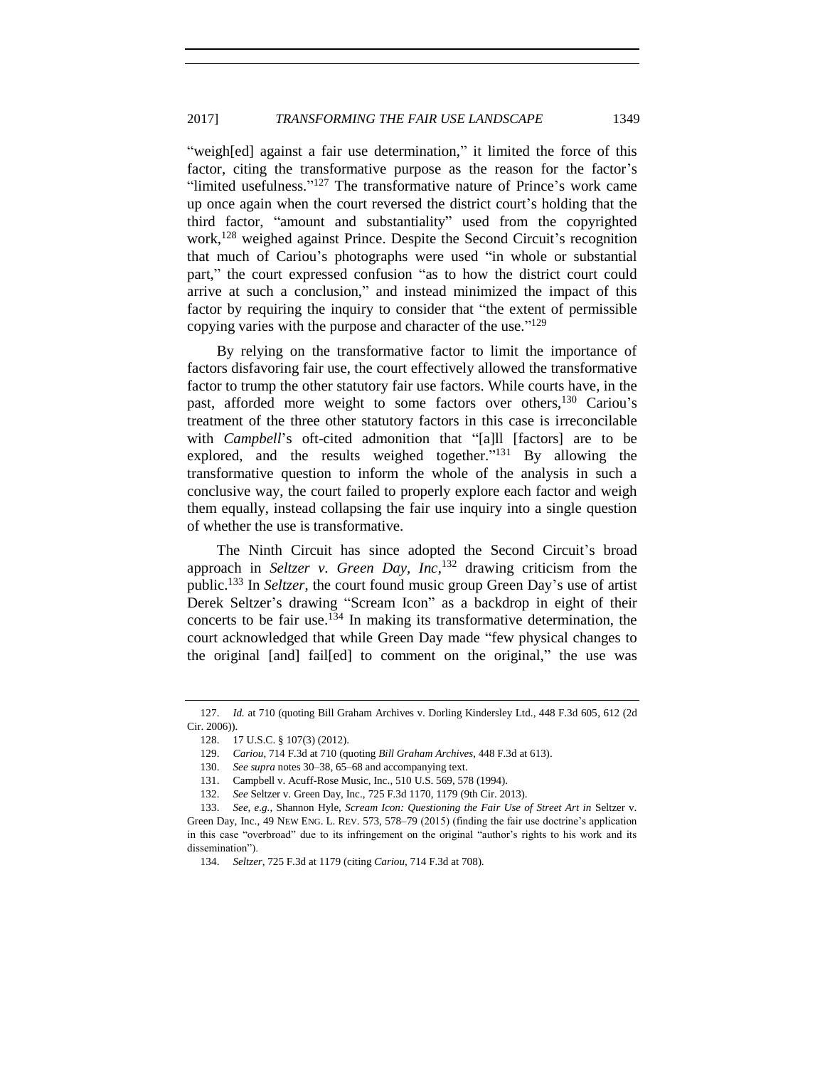"weigh[ed] against a fair use determination," it limited the force of this factor, citing the transformative purpose as the reason for the factor's "limited usefulness."<sup>127</sup> The transformative nature of Prince's work came up once again when the court reversed the district court's holding that the third factor, "amount and substantiality" used from the copyrighted work,<sup>128</sup> weighed against Prince. Despite the Second Circuit's recognition that much of Cariou's photographs were used "in whole or substantial part," the court expressed confusion "as to how the district court could arrive at such a conclusion," and instead minimized the impact of this factor by requiring the inquiry to consider that "the extent of permissible copying varies with the purpose and character of the use."<sup>129</sup>

By relying on the transformative factor to limit the importance of factors disfavoring fair use, the court effectively allowed the transformative factor to trump the other statutory fair use factors. While courts have, in the past, afforded more weight to some factors over others,<sup>130</sup> Cariou's treatment of the three other statutory factors in this case is irreconcilable with *Campbell*'s oft-cited admonition that "[a]ll [factors] are to be explored, and the results weighed together."<sup>131</sup> By allowing the transformative question to inform the whole of the analysis in such a conclusive way, the court failed to properly explore each factor and weigh them equally, instead collapsing the fair use inquiry into a single question of whether the use is transformative.

<span id="page-20-0"></span>The Ninth Circuit has since adopted the Second Circuit's broad approach in *Seltzer v. Green Day, Inc*, <sup>132</sup> drawing criticism from the public.<sup>133</sup> In *Seltzer*, the court found music group Green Day's use of artist Derek Seltzer's drawing "Scream Icon" as a backdrop in eight of their concerts to be fair use.<sup>134</sup> In making its transformative determination, the court acknowledged that while Green Day made "few physical changes to the original [and] fail[ed] to comment on the original," the use was

<sup>127.</sup> *Id.* at 710 (quoting Bill Graham Archives v. Dorling Kindersley Ltd., 448 F.3d 605, 612 (2d Cir. 2006)).

<sup>128.</sup> 17 U.S.C. § 107(3) (2012).

<sup>129.</sup> *Cariou*, 714 F.3d at 710 (quoting *Bill Graham Archives*, 448 F.3d at 613).

<sup>130.</sup> *See supra* notes [30](#page-6-1)[–38,](#page-7-1) [65](#page-10-3)[–68](#page-11-1) and accompanying text.

<sup>131.</sup> Campbell v. Acuff-Rose Music, Inc., 510 U.S. 569, 578 (1994).

<sup>132.</sup> *See* Seltzer v. Green Day, Inc., 725 F.3d 1170, 1179 (9th Cir. 2013).

<sup>133.</sup> *See, e.g.*, Shannon Hyle, *Scream Icon: Questioning the Fair Use of Street Art in* Seltzer v. Green Day, Inc., 49 NEW ENG. L. REV. 573, 578–79 (2015) (finding the fair use doctrine's application in this case "overbroad" due to its infringement on the original "author's rights to his work and its dissemination").

<sup>134.</sup> *Seltzer*, 725 F.3d at 1179 (citing *Cariou*, 714 F.3d at 708).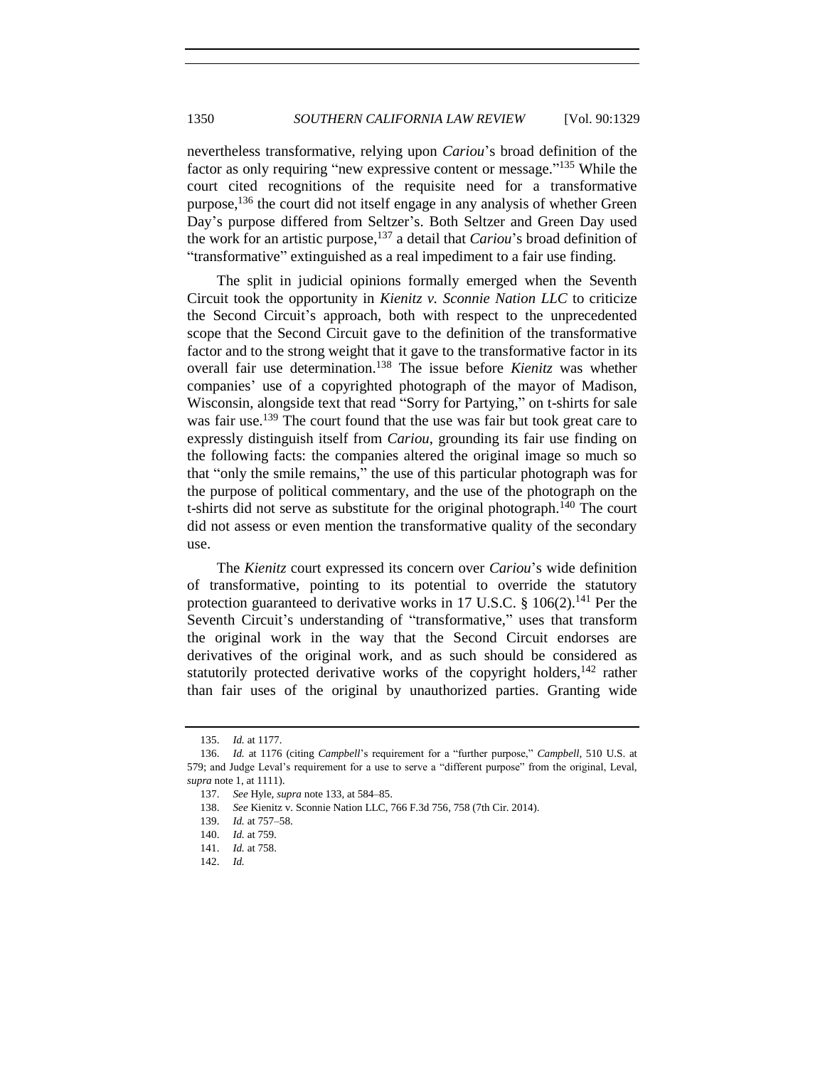nevertheless transformative, relying upon *Cariou*'s broad definition of the factor as only requiring "new expressive content or message."<sup>135</sup> While the court cited recognitions of the requisite need for a transformative purpose,  $^{136}$  the court did not itself engage in any analysis of whether Green Day's purpose differed from Seltzer's. Both Seltzer and Green Day used the work for an artistic purpose,<sup>137</sup> a detail that *Cariou*'s broad definition of "transformative" extinguished as a real impediment to a fair use finding.

The split in judicial opinions formally emerged when the Seventh Circuit took the opportunity in *Kienitz v. Sconnie Nation LLC* to criticize the Second Circuit's approach, both with respect to the unprecedented scope that the Second Circuit gave to the definition of the transformative factor and to the strong weight that it gave to the transformative factor in its overall fair use determination.<sup>138</sup> The issue before *Kienitz* was whether companies' use of a copyrighted photograph of the mayor of Madison, Wisconsin, alongside text that read "Sorry for Partying," on t-shirts for sale was fair use.<sup>139</sup> The court found that the use was fair but took great care to expressly distinguish itself from *Cariou*, grounding its fair use finding on the following facts: the companies altered the original image so much so that "only the smile remains," the use of this particular photograph was for the purpose of political commentary, and the use of the photograph on the t-shirts did not serve as substitute for the original photograph.<sup>140</sup> The court did not assess or even mention the transformative quality of the secondary use.

The *Kienitz* court expressed its concern over *Cariou*'s wide definition of transformative, pointing to its potential to override the statutory protection guaranteed to derivative works in 17 U.S.C. § 106(2).<sup>141</sup> Per the Seventh Circuit's understanding of "transformative," uses that transform the original work in the way that the Second Circuit endorses are derivatives of the original work, and as such should be considered as statutorily protected derivative works of the copyright holders,  $142$  rather than fair uses of the original by unauthorized parties. Granting wide

<sup>135.</sup> *Id.* at 1177.

<sup>136.</sup> *Id.* at 1176 (citing *Campbell*'s requirement for a "further purpose," *Campbell*, 510 U.S. at 579; and Judge Leval's requirement for a use to serve a "different purpose" from the original, Leval, *supra* not[e 1,](#page-0-0) at 1111).

<sup>137.</sup> *See* Hyle, *supra* not[e 133,](#page-20-0) at 584–85.

<sup>138.</sup> *See* Kienitz v. Sconnie Nation LLC, 766 F.3d 756, 758 (7th Cir. 2014).

<sup>139.</sup> *Id.* at 757–58.

<sup>140.</sup> *Id.* at 759.

<sup>141.</sup> *Id.* at 758.

<sup>142.</sup> *Id.*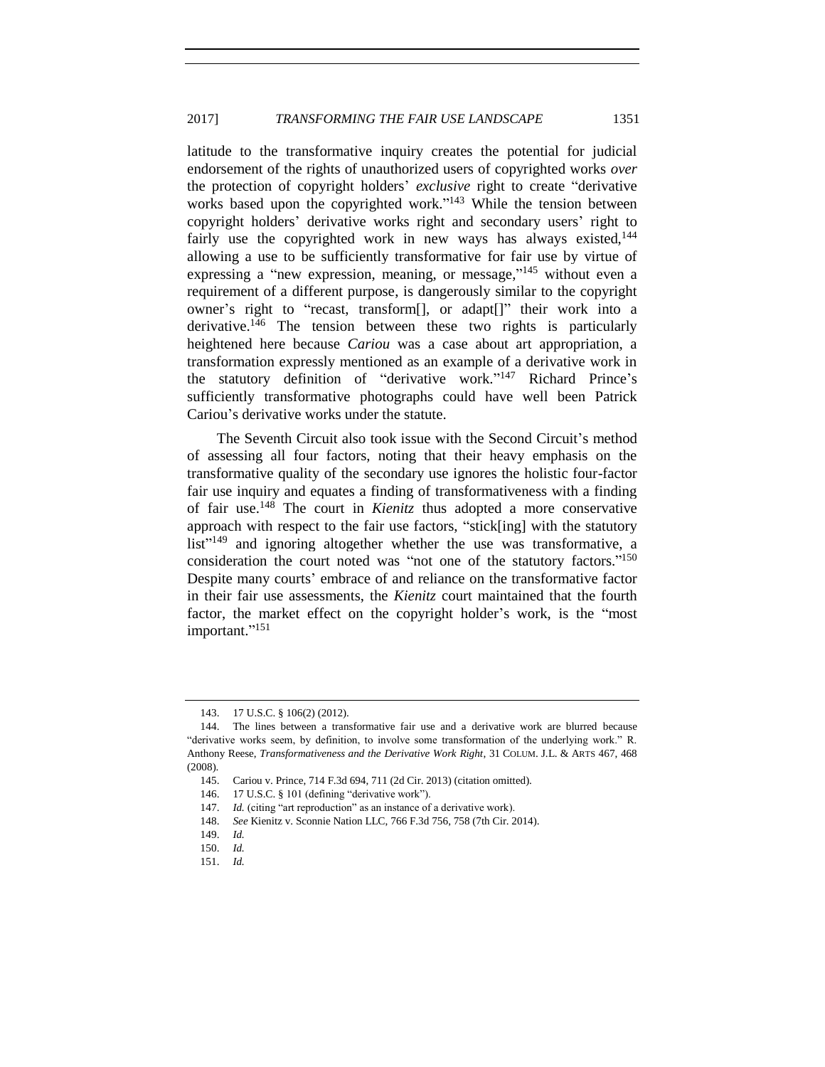latitude to the transformative inquiry creates the potential for judicial endorsement of the rights of unauthorized users of copyrighted works *over* the protection of copyright holders' *exclusive* right to create "derivative works based upon the copyrighted work."<sup>143</sup> While the tension between copyright holders' derivative works right and secondary users' right to fairly use the copyrighted work in new ways has always existed,  $144$ allowing a use to be sufficiently transformative for fair use by virtue of expressing a "new expression, meaning, or message,"<sup>145</sup> without even a requirement of a different purpose, is dangerously similar to the copyright owner's right to "recast, transform[], or adapt[]" their work into a derivative.<sup>146</sup> The tension between these two rights is particularly heightened here because *Cariou* was a case about art appropriation, a transformation expressly mentioned as an example of a derivative work in the statutory definition of "derivative work." <sup>147</sup> Richard Prince's sufficiently transformative photographs could have well been Patrick Cariou's derivative works under the statute.

The Seventh Circuit also took issue with the Second Circuit's method of assessing all four factors, noting that their heavy emphasis on the transformative quality of the secondary use ignores the holistic four-factor fair use inquiry and equates a finding of transformativeness with a finding of fair use.<sup>148</sup> The court in *Kienitz* thus adopted a more conservative approach with respect to the fair use factors, "stick[ing] with the statutory list"<sup>149</sup> and ignoring altogether whether the use was transformative, a consideration the court noted was "not one of the statutory factors."<sup>150</sup> Despite many courts' embrace of and reliance on the transformative factor in their fair use assessments, the *Kienitz* court maintained that the fourth factor, the market effect on the copyright holder's work, is the "most important."<sup>151</sup>

151. *Id.*

<span id="page-22-0"></span><sup>143.</sup> 17 U.S.C. § 106(2) (2012).

<sup>144.</sup> The lines between a transformative fair use and a derivative work are blurred because "derivative works seem, by definition, to involve some transformation of the underlying work." R. Anthony Reese, *Transformativeness and the Derivative Work Right*, 31 COLUM. J.L. & ARTS 467, 468 (2008).

<sup>145.</sup> Cariou v. Prince, 714 F.3d 694, 711 (2d Cir. 2013) (citation omitted).

<sup>146.</sup> 17 U.S.C. § 101 (defining "derivative work").

<sup>147.</sup> *Id.* (citing "art reproduction" as an instance of a derivative work).

<sup>148.</sup> *See* Kienitz v. Sconnie Nation LLC, 766 F.3d 756, 758 (7th Cir. 2014).

<sup>149.</sup> *Id.*

<sup>150.</sup> *Id.*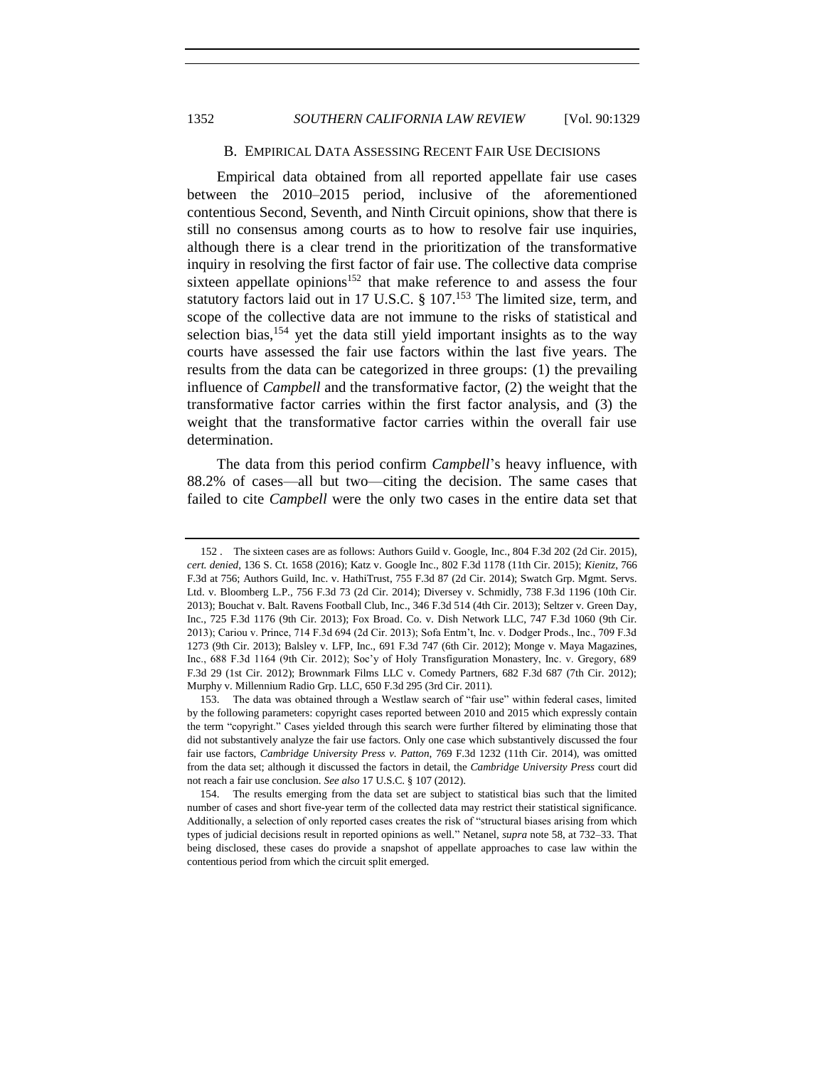# <span id="page-23-0"></span>B. EMPIRICAL DATA ASSESSING RECENT FAIR USE DECISIONS

Empirical data obtained from all reported appellate fair use cases between the 2010–2015 period, inclusive of the aforementioned contentious Second, Seventh, and Ninth Circuit opinions, show that there is still no consensus among courts as to how to resolve fair use inquiries, although there is a clear trend in the prioritization of the transformative inquiry in resolving the first factor of fair use. The collective data comprise sixteen appellate opinions<sup>152</sup> that make reference to and assess the four statutory factors laid out in 17 U.S.C. § 107.<sup>153</sup> The limited size, term, and scope of the collective data are not immune to the risks of statistical and selection bias,  $154$  yet the data still yield important insights as to the way courts have assessed the fair use factors within the last five years. The results from the data can be categorized in three groups: (1) the prevailing influence of *Campbell* and the transformative factor, (2) the weight that the transformative factor carries within the first factor analysis, and (3) the weight that the transformative factor carries within the overall fair use determination.

The data from this period confirm *Campbell*'s heavy influence, with 88.2% of cases—all but two—citing the decision. The same cases that failed to cite *Campbell* were the only two cases in the entire data set that

 <sup>152</sup> . The sixteen cases are as follows: Authors Guild v. Google, Inc., 804 F.3d 202 (2d Cir. 2015), *cert. denied*, 136 S. Ct. 1658 (2016); Katz v. Google Inc., 802 F.3d 1178 (11th Cir. 2015); *Kienitz*, 766 F.3d at 756; Authors Guild, Inc. v. HathiTrust, 755 F.3d 87 (2d Cir. 2014); Swatch Grp. Mgmt. Servs. Ltd. v. Bloomberg L.P., 756 F.3d 73 (2d Cir. 2014); Diversey v. Schmidly, 738 F.3d 1196 (10th Cir. 2013); Bouchat v. Balt. Ravens Football Club, Inc., 346 F.3d 514 (4th Cir. 2013); Seltzer v. Green Day, Inc., 725 F.3d 1176 (9th Cir. 2013); Fox Broad. Co. v. Dish Network LLC, 747 F.3d 1060 (9th Cir. 2013); Cariou v. Prince, 714 F.3d 694 (2d Cir. 2013); Sofa Entm't, Inc. v. Dodger Prods., Inc., 709 F.3d 1273 (9th Cir. 2013); Balsley v. LFP, Inc., 691 F.3d 747 (6th Cir. 2012); Monge v. Maya Magazines, Inc., 688 F.3d 1164 (9th Cir. 2012); Soc'y of Holy Transfiguration Monastery, Inc. v. Gregory, 689 F.3d 29 (1st Cir. 2012); Brownmark Films LLC v. Comedy Partners, 682 F.3d 687 (7th Cir. 2012); Murphy v. Millennium Radio Grp. LLC, 650 F.3d 295 (3rd Cir. 2011).

<sup>153.</sup> The data was obtained through a Westlaw search of "fair use" within federal cases, limited by the following parameters: copyright cases reported between 2010 and 2015 which expressly contain the term "copyright." Cases yielded through this search were further filtered by eliminating those that did not substantively analyze the fair use factors. Only one case which substantively discussed the four fair use factors, *Cambridge University Press v. Patton*, 769 F.3d 1232 (11th Cir. 2014), was omitted from the data set; although it discussed the factors in detail, the *Cambridge University Press* court did not reach a fair use conclusion. *See also* 17 U.S.C. § 107 (2012).

<sup>154.</sup> The results emerging from the data set are subject to statistical bias such that the limited number of cases and short five-year term of the collected data may restrict their statistical significance. Additionally, a selection of only reported cases creates the risk of "structural biases arising from which types of judicial decisions result in reported opinions as well." Netanel, *supra* note [58,](#page-10-1) at 732–33. That being disclosed, these cases do provide a snapshot of appellate approaches to case law within the contentious period from which the circuit split emerged.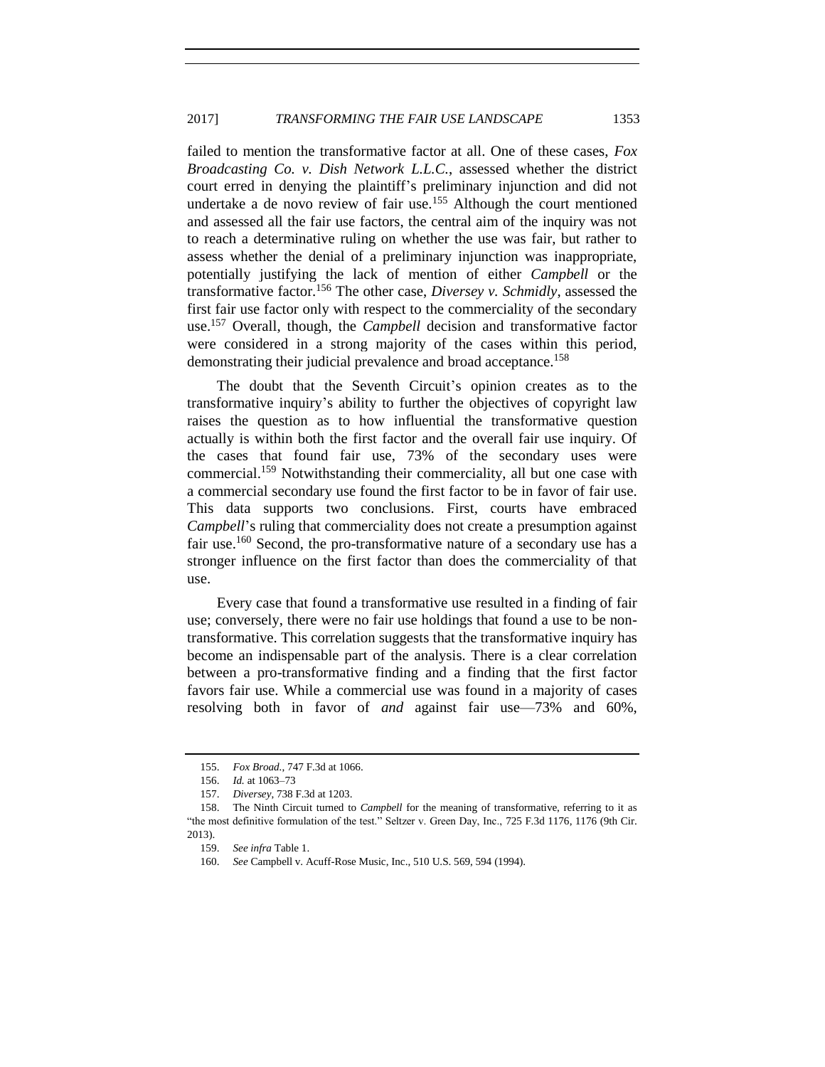# 2017] **TRANSFORMING THE FAIR USE LANDSCAPE** 1353

failed to mention the transformative factor at all. One of these cases, *Fox Broadcasting Co. v. Dish Network L.L.C.*, assessed whether the district court erred in denying the plaintiff's preliminary injunction and did not undertake a de novo review of fair use.<sup>155</sup> Although the court mentioned and assessed all the fair use factors, the central aim of the inquiry was not to reach a determinative ruling on whether the use was fair, but rather to assess whether the denial of a preliminary injunction was inappropriate, potentially justifying the lack of mention of either *Campbell* or the transformative factor.<sup>156</sup> The other case, *Diversey v. Schmidly*, assessed the first fair use factor only with respect to the commerciality of the secondary use.<sup>157</sup> Overall, though, the *Campbell* decision and transformative factor were considered in a strong majority of the cases within this period, demonstrating their judicial prevalence and broad acceptance.<sup>158</sup>

The doubt that the Seventh Circuit's opinion creates as to the transformative inquiry's ability to further the objectives of copyright law raises the question as to how influential the transformative question actually is within both the first factor and the overall fair use inquiry. Of the cases that found fair use, 73% of the secondary uses were commercial.<sup>159</sup> Notwithstanding their commerciality, all but one case with a commercial secondary use found the first factor to be in favor of fair use. This data supports two conclusions. First, courts have embraced *Campbell*'s ruling that commerciality does not create a presumption against fair use.<sup>160</sup> Second, the pro-transformative nature of a secondary use has a stronger influence on the first factor than does the commerciality of that use.

Every case that found a transformative use resulted in a finding of fair use; conversely, there were no fair use holdings that found a use to be nontransformative. This correlation suggests that the transformative inquiry has become an indispensable part of the analysis. There is a clear correlation between a pro-transformative finding and a finding that the first factor favors fair use. While a commercial use was found in a majority of cases resolving both in favor of *and* against fair use—73% and 60%,

<sup>155.</sup> *Fox Broad.*, 747 F.3d at 1066.

<sup>156.</sup> *Id.* at 1063–73

<sup>157.</sup> *Diversey*, 738 F.3d at 1203.

<sup>158.</sup> The Ninth Circuit turned to *Campbell* for the meaning of transformative, referring to it as "the most definitive formulation of the test." Seltzer v. Green Day, Inc., 725 F.3d 1176, 1176 (9th Cir. 2013).

<sup>159.</sup> *See infra* Table 1.

<sup>160.</sup> *See* Campbell v. Acuff-Rose Music, Inc., 510 U.S. 569, 594 (1994).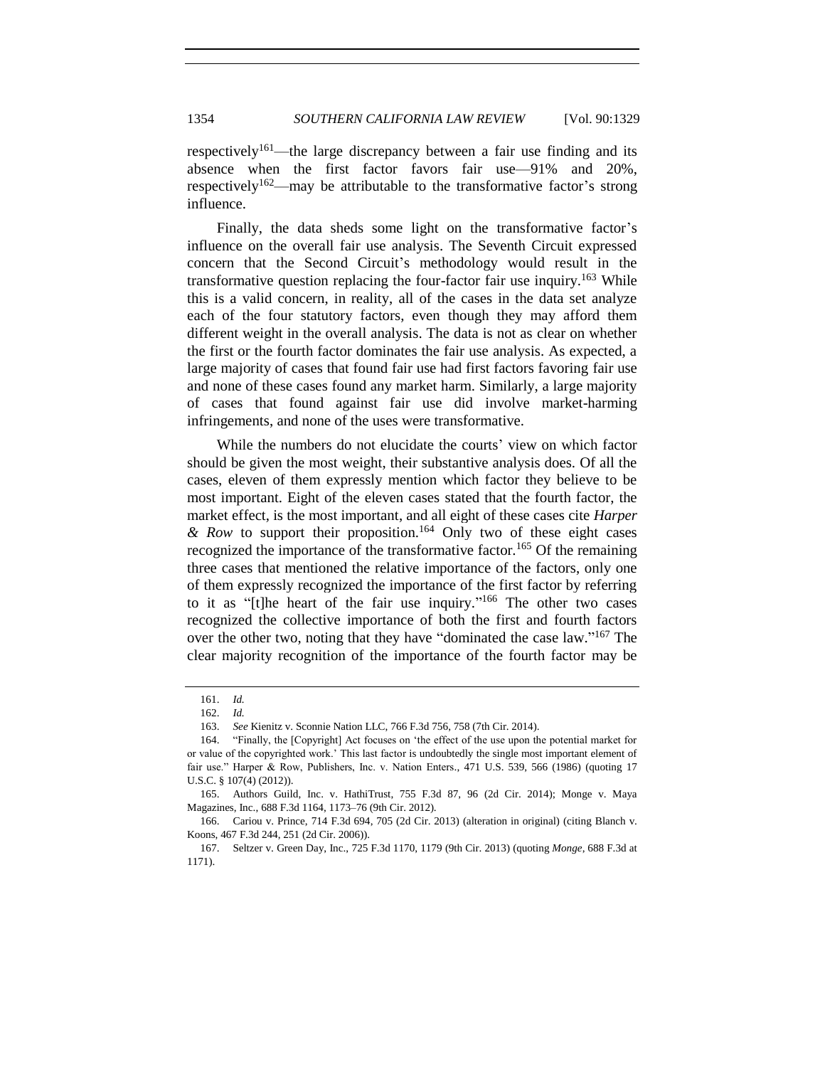respectively<sup>161</sup>—the large discrepancy between a fair use finding and its absence when the first factor favors fair use—91% and 20%, respectively<sup>162</sup>—may be attributable to the transformative factor's strong influence.

Finally, the data sheds some light on the transformative factor's influence on the overall fair use analysis. The Seventh Circuit expressed concern that the Second Circuit's methodology would result in the transformative question replacing the four-factor fair use inquiry.<sup>163</sup> While this is a valid concern, in reality, all of the cases in the data set analyze each of the four statutory factors, even though they may afford them different weight in the overall analysis. The data is not as clear on whether the first or the fourth factor dominates the fair use analysis. As expected, a large majority of cases that found fair use had first factors favoring fair use and none of these cases found any market harm. Similarly, a large majority of cases that found against fair use did involve market-harming infringements, and none of the uses were transformative.

While the numbers do not elucidate the courts' view on which factor should be given the most weight, their substantive analysis does. Of all the cases, eleven of them expressly mention which factor they believe to be most important. Eight of the eleven cases stated that the fourth factor, the market effect, is the most important, and all eight of these cases cite *Harper & Row* to support their proposition.<sup>164</sup> Only two of these eight cases recognized the importance of the transformative factor.<sup>165</sup> Of the remaining three cases that mentioned the relative importance of the factors, only one of them expressly recognized the importance of the first factor by referring to it as "[t]he heart of the fair use inquiry."<sup>166</sup> The other two cases recognized the collective importance of both the first and fourth factors over the other two, noting that they have "dominated the case law."<sup>167</sup> The clear majority recognition of the importance of the fourth factor may be

<sup>161.</sup> *Id.* 

<sup>162.</sup> *Id.* 

<sup>163.</sup> *See* Kienitz v. Sconnie Nation LLC, 766 F.3d 756, 758 (7th Cir. 2014).

<sup>164.</sup> "Finally, the [Copyright] Act focuses on 'the effect of the use upon the potential market for or value of the copyrighted work.' This last factor is undoubtedly the single most important element of fair use." Harper & Row, Publishers, Inc. v. Nation Enters., 471 U.S. 539, 566 (1986) (quoting 17 U.S.C. § 107(4) (2012)).

<sup>165.</sup> Authors Guild, Inc. v. HathiTrust, 755 F.3d 87, 96 (2d Cir. 2014); Monge v. Maya Magazines, Inc., 688 F.3d 1164, 1173–76 (9th Cir. 2012).

<sup>166.</sup> Cariou v. Prince, 714 F.3d 694, 705 (2d Cir. 2013) (alteration in original) (citing Blanch v. Koons, 467 F.3d 244, 251 (2d Cir. 2006)).

<sup>167.</sup> Seltzer v. Green Day, Inc., 725 F.3d 1170, 1179 (9th Cir. 2013) (quoting *Monge*, 688 F.3d at 1171).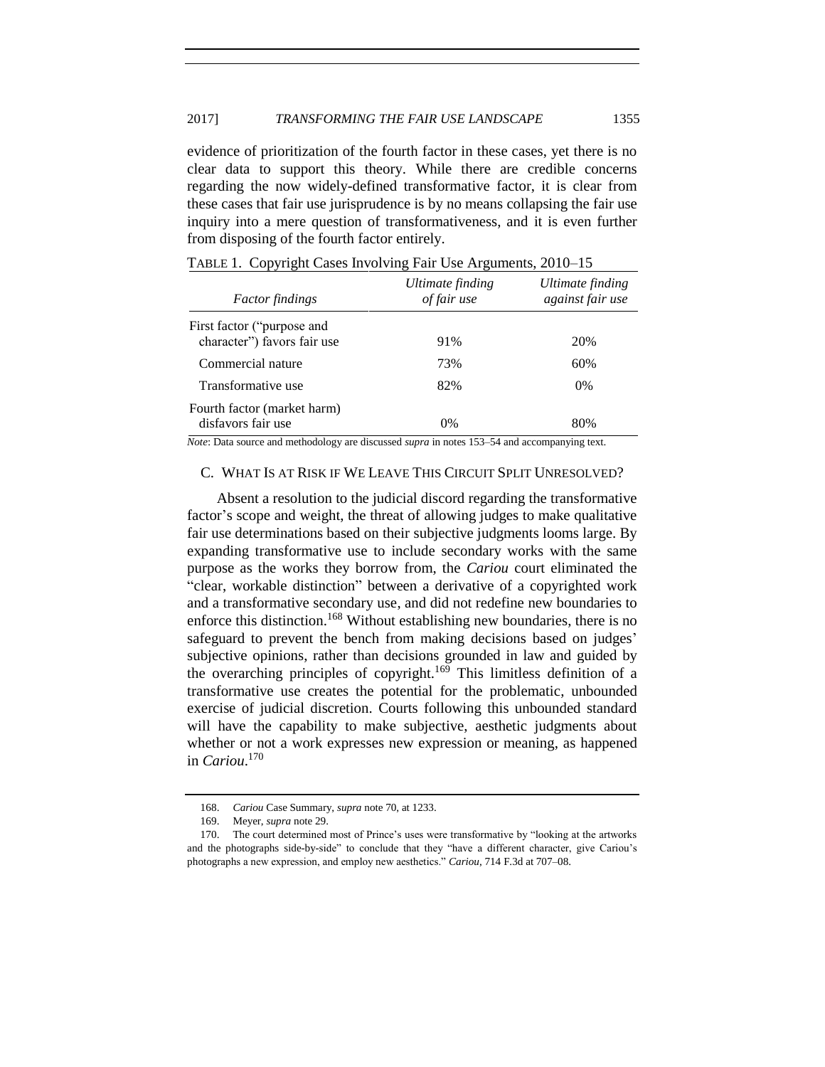evidence of prioritization of the fourth factor in these cases, yet there is no clear data to support this theory. While there are credible concerns regarding the now widely-defined transformative factor, it is clear from these cases that fair use jurisprudence is by no means collapsing the fair use inquiry into a mere question of transformativeness, and it is even further from disposing of the fourth factor entirely.

| <i>Factor findings</i>                                    | Ultimate finding<br>of fair use | Ultimate finding<br>against fair use |
|-----------------------------------------------------------|---------------------------------|--------------------------------------|
| First factor ("purpose and<br>character") favors fair use | 91%                             | 20%                                  |
| Commercial nature                                         | 73%                             | 60%                                  |
| Transformative use                                        | 82%                             | $0\%$                                |
| Fourth factor (market harm)<br>disfavors fair use         | $0\%$                           | 80%                                  |

TABLE 1. Copyright Cases Involving Fair Use Arguments, 2010–15

<span id="page-26-0"></span>*Note*: Data source and methodology are discussed *supra* in notes [153–](#page-23-0)54 and accompanying text.

# C. WHAT IS AT RISK IF WE LEAVE THIS CIRCUIT SPLIT UNRESOLVED?

Absent a resolution to the judicial discord regarding the transformative factor's scope and weight, the threat of allowing judges to make qualitative fair use determinations based on their subjective judgments looms large. By expanding transformative use to include secondary works with the same purpose as the works they borrow from, the *Cariou* court eliminated the "clear, workable distinction" between a derivative of a copyrighted work and a transformative secondary use, and did not redefine new boundaries to enforce this distinction.<sup>168</sup> Without establishing new boundaries, there is no safeguard to prevent the bench from making decisions based on judges' subjective opinions, rather than decisions grounded in law and guided by the overarching principles of copyright.<sup>169</sup> This limitless definition of a transformative use creates the potential for the problematic, unbounded exercise of judicial discretion. Courts following this unbounded standard will have the capability to make subjective, aesthetic judgments about whether or not a work expresses new expression or meaning, as happened in *Cariou*. 170

<sup>168.</sup> *Cariou* Case Summary, *supra* not[e 70,](#page-11-0) at 1233.

<sup>169.</sup> Meyer, *supra* note [29.](#page-6-2)

<sup>170.</sup> The court determined most of Prince's uses were transformative by "looking at the artworks and the photographs side-by-side" to conclude that they "have a different character, give Cariou's photographs a new expression, and employ new aesthetics." *Cariou*, 714 F.3d at 707–08.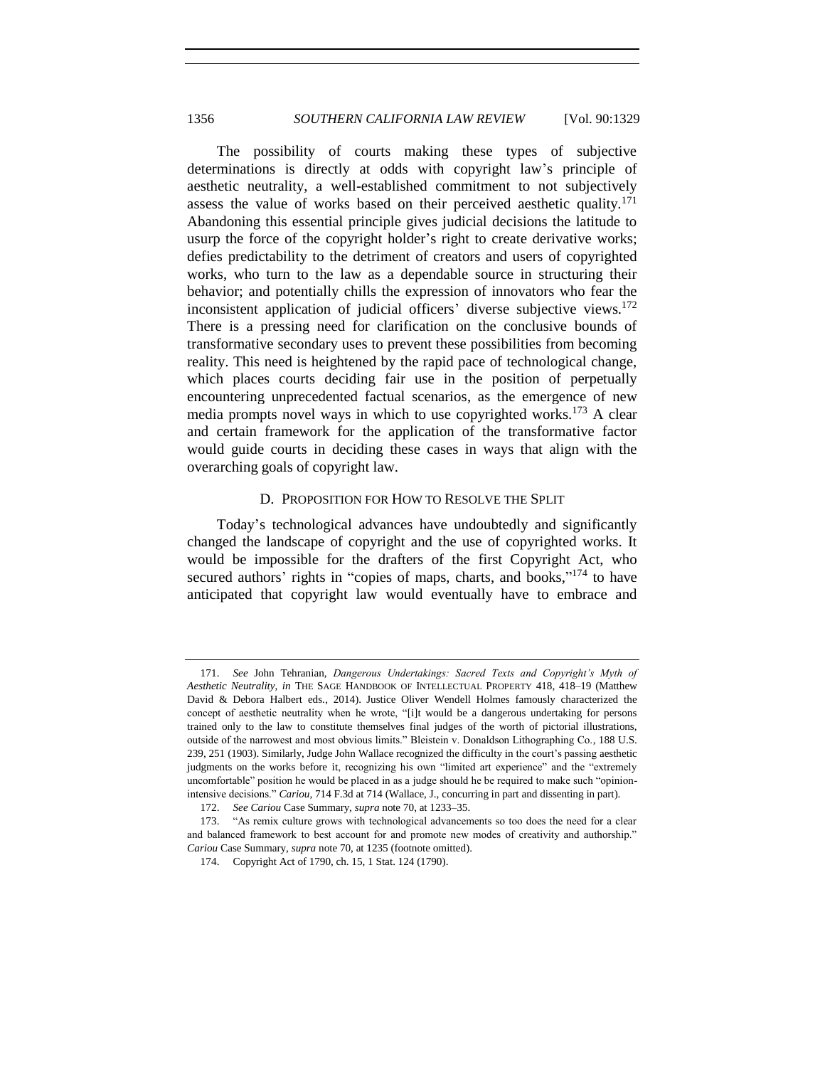The possibility of courts making these types of subjective determinations is directly at odds with copyright law's principle of aesthetic neutrality, a well-established commitment to not subjectively assess the value of works based on their perceived aesthetic quality.<sup>171</sup> Abandoning this essential principle gives judicial decisions the latitude to usurp the force of the copyright holder's right to create derivative works; defies predictability to the detriment of creators and users of copyrighted works, who turn to the law as a dependable source in structuring their behavior; and potentially chills the expression of innovators who fear the inconsistent application of judicial officers' diverse subjective views.<sup>172</sup> There is a pressing need for clarification on the conclusive bounds of transformative secondary uses to prevent these possibilities from becoming reality. This need is heightened by the rapid pace of technological change, which places courts deciding fair use in the position of perpetually encountering unprecedented factual scenarios, as the emergence of new media prompts novel ways in which to use copyrighted works.<sup>173</sup> A clear and certain framework for the application of the transformative factor would guide courts in deciding these cases in ways that align with the overarching goals of copyright law.

## D. PROPOSITION FOR HOW TO RESOLVE THE SPLIT

<span id="page-27-0"></span>Today's technological advances have undoubtedly and significantly changed the landscape of copyright and the use of copyrighted works. It would be impossible for the drafters of the first Copyright Act, who secured authors' rights in "copies of maps, charts, and books,"<sup>174</sup> to have anticipated that copyright law would eventually have to embrace and

<sup>171.</sup> *See* John Tehranian, *Dangerous Undertakings: Sacred Texts and Copyright's Myth of Aesthetic Neutrality*, *in* THE SAGE HANDBOOK OF INTELLECTUAL PROPERTY 418, 418–19 (Matthew David & Debora Halbert eds., 2014). Justice Oliver Wendell Holmes famously characterized the concept of aesthetic neutrality when he wrote, "[i]t would be a dangerous undertaking for persons trained only to the law to constitute themselves final judges of the worth of pictorial illustrations, outside of the narrowest and most obvious limits." Bleistein v. Donaldson Lithographing Co., 188 U.S. 239, 251 (1903). Similarly, Judge John Wallace recognized the difficulty in the court's passing aesthetic judgments on the works before it, recognizing his own "limited art experience" and the "extremely uncomfortable" position he would be placed in as a judge should he be required to make such "opinionintensive decisions." *Cariou*, 714 F.3d at 714 (Wallace, J., concurring in part and dissenting in part).

<sup>172.</sup> *See Cariou* Case Summary, *supra* not[e 70,](#page-11-0) at 1233–35.

<sup>173.</sup> "As remix culture grows with technological advancements so too does the need for a clear and balanced framework to best account for and promote new modes of creativity and authorship." *Cariou* Case Summary, *supra* not[e 70,](#page-11-0) at 1235 (footnote omitted).

<sup>174.</sup> Copyright Act of 1790, ch. 15, 1 Stat. 124 (1790).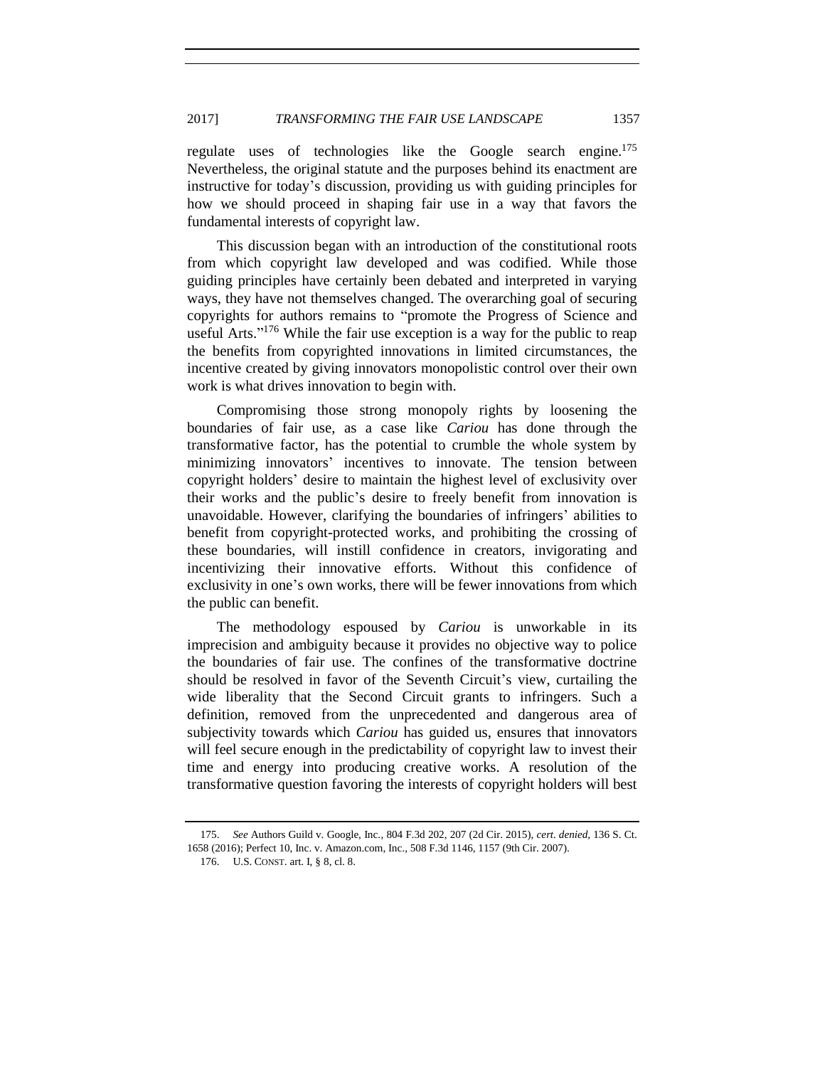regulate uses of technologies like the Google search engine.<sup>175</sup> Nevertheless, the original statute and the purposes behind its enactment are instructive for today's discussion, providing us with guiding principles for how we should proceed in shaping fair use in a way that favors the fundamental interests of copyright law.

This discussion began with an introduction of the constitutional roots from which copyright law developed and was codified. While those guiding principles have certainly been debated and interpreted in varying ways, they have not themselves changed. The overarching goal of securing copyrights for authors remains to "promote the Progress of Science and useful Arts."<sup>176</sup> While the fair use exception is a way for the public to reap the benefits from copyrighted innovations in limited circumstances, the incentive created by giving innovators monopolistic control over their own work is what drives innovation to begin with.

Compromising those strong monopoly rights by loosening the boundaries of fair use, as a case like *Cariou* has done through the transformative factor, has the potential to crumble the whole system by minimizing innovators' incentives to innovate. The tension between copyright holders' desire to maintain the highest level of exclusivity over their works and the public's desire to freely benefit from innovation is unavoidable. However, clarifying the boundaries of infringers' abilities to benefit from copyright-protected works, and prohibiting the crossing of these boundaries, will instill confidence in creators, invigorating and incentivizing their innovative efforts. Without this confidence of exclusivity in one's own works, there will be fewer innovations from which the public can benefit.

The methodology espoused by *Cariou* is unworkable in its imprecision and ambiguity because it provides no objective way to police the boundaries of fair use. The confines of the transformative doctrine should be resolved in favor of the Seventh Circuit's view, curtailing the wide liberality that the Second Circuit grants to infringers. Such a definition, removed from the unprecedented and dangerous area of subjectivity towards which *Cariou* has guided us, ensures that innovators will feel secure enough in the predictability of copyright law to invest their time and energy into producing creative works. A resolution of the transformative question favoring the interests of copyright holders will best

<sup>175.</sup> *See* Authors Guild v. Google, Inc., 804 F.3d 202, 207 (2d Cir. 2015), *cert. denied*, 136 S. Ct. 1658 (2016); Perfect 10, Inc. v. Amazon.com, Inc., 508 F.3d 1146, 1157 (9th Cir. 2007).

<sup>176.</sup> U.S. CONST. art. I, § 8, cl. 8.